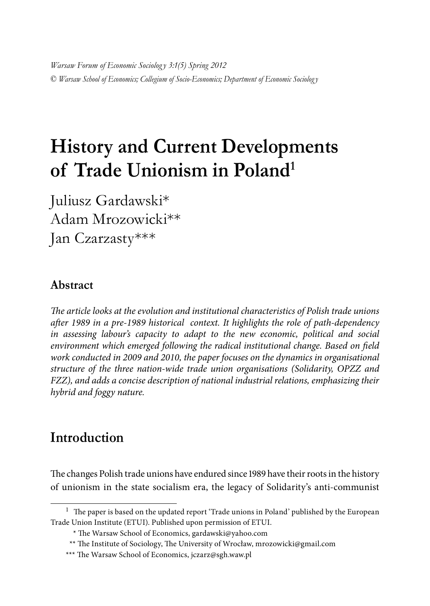*Warsaw Forum of Economic Sociolog y 3:1(5) Spring 2012*  © *Warsaw School of Economics; Collegium of Socio-Economics; Department of Economic Sociolog y*

# **History and Current Developments of Trade Unionism in Poland1**

Juliusz Gardawski\* Adam Mrozowicki\*\* Jan Czarzasty\*\*\*

#### **Abstract**

*The article looks at the evolution and institutional characteristics of Polish trade unions after 1989 in a pre-1989 historical context. It highlights the role of path-dependency in assessing labour's capacity to adapt to the new economic, political and social environment which emerged following the radical institutional change. Based on field*  work conducted in 2009 and 2010, the paper focuses on the dynamics in organisational *structure of the three nation-wide trade union organisations (Solidarity, OPZZ and FZZ), and adds a concise description of national industrial relations, emphasizing their hybrid and foggy nature.* 

# **Introduction**

The changes Polish trade unions have endured since 1989 have their roots in the history of unionism in the state socialism era, the legacy of Solidarity's anti-communist

 $1$  The paper is based on the updated report 'Trade unions in Poland' published by the European Trade Union Institute (ETUI). Published upon permission of ETUI.

<sup>\*</sup> The Warsaw School of Economics, gardawski@yahoo.com

<sup>\*\*</sup> The Institute of Sociology, The University of Wrocław, mrozowicki@gmail.com

<sup>\*\*\*</sup> The Warsaw School of Economics, jczarz@sgh.waw.pl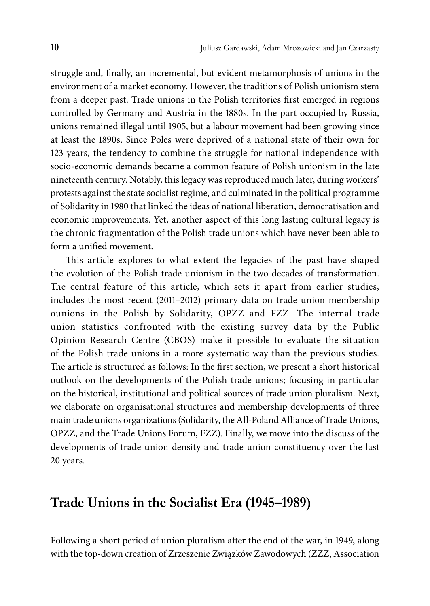struggle and, finally, an incremental, but evident metamorphosis of unions in the environment of a market economy. However, the traditions of Polish unionism stem from a deeper past. Trade unions in the Polish territories first emerged in regions controlled by Germany and Austria in the 1880s. In the part occupied by Russia, unions remained illegal until 1905, but a labour movement had been growing since at least the 1890s. Since Poles were deprived of a national state of their own for 123 years, the tendency to combine the struggle for national independence with socio-economic demands became a common feature of Polish unionism in the late nineteenth century. Notably, this legacy was reproduced much later, during workers' protests against the state socialist regime, and culminated in the political programme of Solidarity in 1980 that linked the ideas of national liberation, democratisation and economic improvements. Yet, another aspect of this long lasting cultural legacy is the chronic fragmentation of the Polish trade unions which have never been able to form a unified movement.

This article explores to what extent the legacies of the past have shaped the evolution of the Polish trade unionism in the two decades of transformation. The central feature of this article, which sets it apart from earlier studies, includes the most recent (2011–2012) primary data on trade union membership ounions in the Polish by Solidarity, OPZZ and FZZ. The internal trade union statistics confronted with the existing survey data by the Public Opinion Research Centre (CBOS) make it possible to evaluate the situation of the Polish trade unions in a more systematic way than the previous studies. The article is structured as follows: In the first section, we present a short historical outlook on the developments of the Polish trade unions; focusing in particular on the historical, institutional and political sources of trade union pluralism. Next, we elaborate on organisational structures and membership developments of three main trade unions organizations (Solidarity, the All-Poland Alliance of Trade Unions, OPZZ, and the Trade Unions Forum, FZZ). Finally, we move into the discuss of the developments of trade union density and trade union constituency over the last 20 years.

### **Trade Unions in the Socialist Era (1945–1989)**

Following a short period of union pluralism after the end of the war, in 1949, along with the top-down creation of Zrzeszenie Związków Zawodowych (ZZZ, Association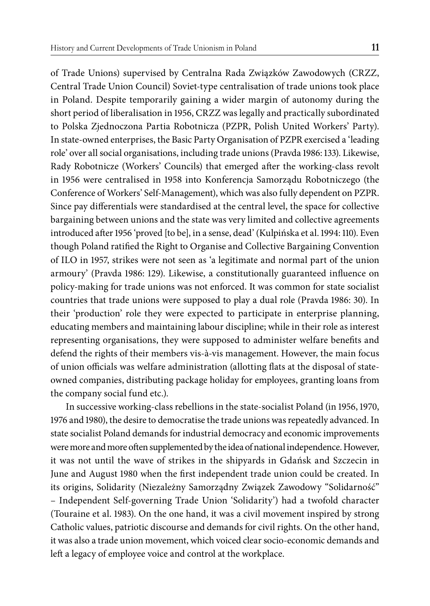of Trade Unions) supervised by Centralna Rada Związków Zawodowych (CRZZ, Central Trade Union Council) Soviet-type centralisation of trade unions took place in Poland. Despite temporarily gaining a wider margin of autonomy during the short period of liberalisation in 1956, CRZZ was legally and practically subordinated to Polska Zjednoczona Partia Robotnicza (PZPR, Polish United Workers' Party). In state-owned enterprises, the Basic Party Organisation of PZPR exercised a 'leading role' over all social organisations, including trade unions (Pravda 1986: 133). Likewise, Rady Robotnicze (Workers' Councils) that emerged after the working-class revolt in 1956 were centralised in 1958 into Konferencja Samorządu Robotniczego (the Conference of Workers' Self-Management), which was also fully dependent on PZPR. Since pay differentials were standardised at the central level, the space for collective bargaining between unions and the state was very limited and collective agreements introduced after 1956 'proved [to be], in a sense, dead' (Kulpińska et al. 1994: 110). Even though Poland ratified the Right to Organise and Collective Bargaining Convention of ILO in 1957, strikes were not seen as 'a legitimate and normal part of the union armoury' (Pravda 1986: 129). Likewise, a constitutionally guaranteed influence on policy-making for trade unions was not enforced. It was common for state socialist countries that trade unions were supposed to play a dual role (Pravda 1986: 30). In their 'production' role they were expected to participate in enterprise planning, educating members and maintaining labour discipline; while in their role as interest representing organisations, they were supposed to administer welfare benefits and defend the rights of their members vis-à-vis management. However, the main focus of union officials was welfare administration (allotting flats at the disposal of stateowned companies, distributing package holiday for employees, granting loans from the company social fund etc.).

In successive working-class rebellions in the state-socialist Poland (in 1956, 1970, 1976 and 1980), the desire to democratise the trade unions was repeatedly advanced. In state socialist Poland demands for industrial democracy and economic improvements were more and more often supplemented by the idea of national independence. However, it was not until the wave of strikes in the shipyards in Gdańsk and Szczecin in June and August 1980 when the first independent trade union could be created. In its origins, Solidarity (Niezależny Samorządny Związek Zawodowy "Solidarność" – Independent Self-governing Trade Union 'Solidarity') had a twofold character (Touraine et al. 1983). On the one hand, it was a civil movement inspired by strong Catholic values, patriotic discourse and demands for civil rights. On the other hand, it was also a trade union movement, which voiced clear socio-economic demands and left a legacy of employee voice and control at the workplace.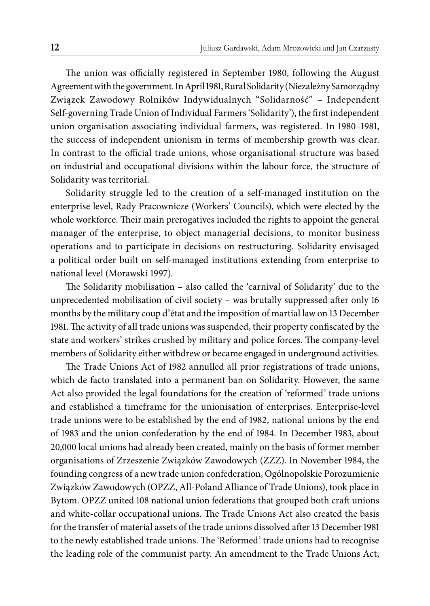The union was officially registered in September 1980, following the August Agreement with the government. In April 1981, Rural Solidarity(Niezależny Samorządny Związek Zawodowy Rolników Indywidualnych "Solidarność" – Independent Self-governing Trade Union of Individual Farmers 'Solidarity'), the first independent union organisation associating individual farmers, was registered. In 1980–1981, the success of independent unionism in terms of membership growth was clear. In contrast to the official trade unions, whose organisational structure was based on industrial and occupational divisions within the labour force, the structure of Solidarity was territorial.

Solidarity struggle led to the creation of a self-managed institution on the enterprise level, Rady Pracownicze (Workers' Councils), which were elected by the whole workforce. Their main prerogatives included the rights to appoint the general manager of the enterprise, to object managerial decisions, to monitor business operations and to participate in decisions on restructuring. Solidarity envisaged a political order built on self-managed institutions extending from enterprise to national level (Morawski 1997).

The Solidarity mobilisation – also called the 'carnival of Solidarity' due to the unprecedented mobilisation of civil society - was brutally suppressed after only 16 months by the military coup d'état and the imposition of martial law on 13 December 1981. The activity of all trade unions was suspended, their property confiscated by the state and workers' strikes crushed by military and police forces. The company-level members of Solidarity either withdrew or became engaged in underground activities.

The Trade Unions Act of 1982 annulled all prior registrations of trade unions, which de facto translated into a permanent ban on Solidarity. However, the same Act also provided the legal foundations for the creation of 'reformed' trade unions and established a timeframe for the unionisation of enterprises. Enterprise-level trade unions were to be established by the end of 1982, national unions by the end of 1983 and the union confederation by the end of 1984. In December 1983, about 20,000 local unions had already been created, mainly on the basis of former member organisations of Zrzeszenie Związków Zawodowych (ZZZ). In November 1984, the founding congress of a new trade union confederation, Ogólnopolskie Porozumienie Związków Zawodowych (OPZZ, All-Poland Alliance of Trade Unions), took place in Bytom. OPZZ united 108 national union federations that grouped both craft unions and white-collar occupational unions. The Trade Unions Act also created the basis for the transfer of material assets of the trade unions dissolved after 13 December 1981 to the newly established trade unions. The 'Reformed' trade unions had to recognise the leading role of the communist party. An amendment to the Trade Unions Act,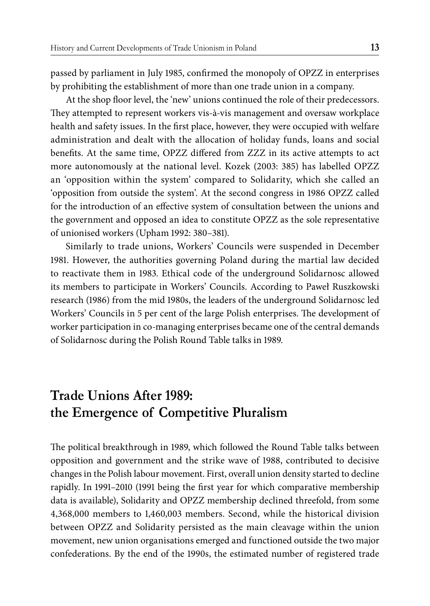passed by parliament in July 1985, confirmed the monopoly of OPZZ in enterprises by prohibiting the establishment of more than one trade union in a company.

At the shop floor level, the 'new' unions continued the role of their predecessors. They attempted to represent workers vis-à-vis management and oversaw workplace health and safety issues. In the first place, however, they were occupied with welfare administration and dealt with the allocation of holiday funds, loans and social benefits. At the same time, OPZZ differed from ZZZ in its active attempts to act more autonomously at the national level. Kozek (2003: 385) has labelled OPZZ an 'opposition within the system' compared to Solidarity, which she called an 'opposition from outside the system'. At the second congress in 1986 OPZZ called for the introduction of an effective system of consultation between the unions and the government and opposed an idea to constitute OPZZ as the sole representative of unionised workers (Upham 1992: 380–381).

Similarly to trade unions, Workers' Councils were suspended in December 1981. However, the authorities governing Poland during the martial law decided to reactivate them in 1983. Ethical code of the underground Solidarnosc allowed its members to participate in Workers' Councils. According to Paweł Ruszkowski research (1986) from the mid 1980s, the leaders of the underground Solidarnosc led Workers' Councils in 5 per cent of the large Polish enterprises. The development of worker participation in co-managing enterprises became one of the central demands of Solidarnosc during the Polish Round Table talks in 1989.

# **Trade Unions After 1989: the Emergence of Competitive Pluralism**

The political breakthrough in 1989, which followed the Round Table talks between opposition and government and the strike wave of 1988, contributed to decisive changes in the Polish labour movement. First, overall union density started to decline rapidly. In 1991–2010 (1991 being the first year for which comparative membership data is available), Solidarity and OPZZ membership declined threefold, from some 4,368,000 members to 1,460,003 members. Second, while the historical division between OPZZ and Solidarity persisted as the main cleavage within the union movement, new union organisations emerged and functioned outside the two major confederations. By the end of the 1990s, the estimated number of registered trade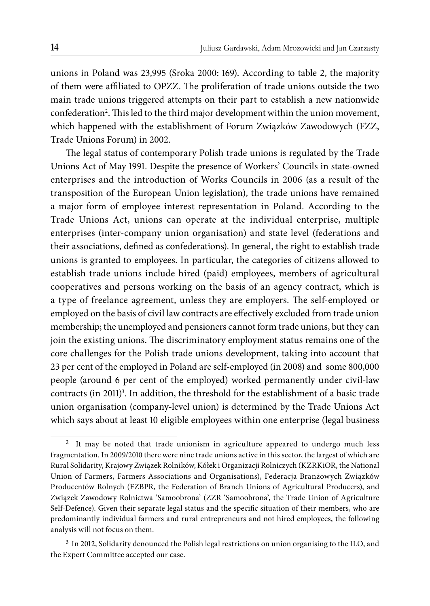unions in Poland was 23,995 (Sroka 2000: 169). According to table 2, the majority of them were affiliated to OPZZ. The proliferation of trade unions outside the two main trade unions triggered attempts on their part to establish a new nationwide confederation<sup>2</sup>. This led to the third major development within the union movement, which happened with the establishment of Forum Związków Zawodowych (FZZ, Trade Unions Forum) in 2002.

The legal status of contemporary Polish trade unions is regulated by the Trade Unions Act of May 1991. Despite the presence of Workers' Councils in state-owned enterprises and the introduction of Works Councils in 2006 (as a result of the transposition of the European Union legislation), the trade unions have remained a major form of employee interest representation in Poland. According to the Trade Unions Act, unions can operate at the individual enterprise, multiple enterprises (inter-company union organisation) and state level (federations and their associations, defined as confederations). In general, the right to establish trade unions is granted to employees. In particular, the categories of citizens allowed to establish trade unions include hired (paid) employees, members of agricultural cooperatives and persons working on the basis of an agency contract, which is a type of freelance agreement, unless they are employers. The self-employed or employed on the basis of civil law contracts are effectively excluded from trade union membership; the unemployed and pensioners cannot form trade unions, but they can join the existing unions. The discriminatory employment status remains one of the core challenges for the Polish trade unions development, taking into account that 23 per cent of the employed in Poland are self-employed (in 2008) and some 800,000 people (around 6 per cent of the employed) worked permanently under civil-law contracts (in 2011)<sup>3</sup>. In addition, the threshold for the establishment of a basic trade union organisation (company-level union) is determined by the Trade Unions Act which says about at least 10 eligible employees within one enterprise (legal business

It may be noted that trade unionism in agriculture appeared to undergo much less fragmentation. In 2009/2010 there were nine trade unions active in this sector, the largest of which are Rural Solidarity, Krajowy Związek Rolników, Kółek i Organizacji Rolniczych (KZRKiOR, the National Union of Farmers, Farmers Associations and Organisations), Federacja Branżowych Związków Producentów Rolnych (FZBPR, the Federation of Branch Unions of Agricultural Producers), and Związek Zawodowy Rolnictwa 'Samoobrona' (ZZR 'Samoobrona', the Trade Union of Agriculture Self-Defence). Given their separate legal status and the specific situation of their members, who are predominantly individual farmers and rural entrepreneurs and not hired employees, the following analysis will not focus on them.

<sup>&</sup>lt;sup>3</sup> In 2012, Solidarity denounced the Polish legal restrictions on union organising to the ILO, and the Expert Committee accepted our case.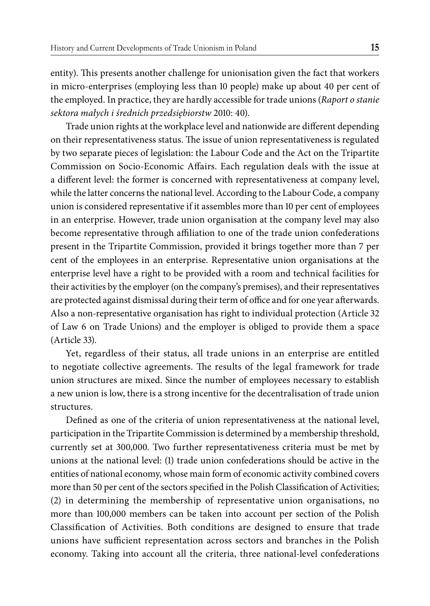entity). This presents another challenge for unionisation given the fact that workers in micro-enterprises (employing less than 10 people) make up about 40 per cent of the employed. In practice, they are hardly accessible for trade unions (*Raport o stanie sektora małych i średnich przedsiębiorstw* 2010: 40).

Trade union rights at the workplace level and nationwide are different depending on their representativeness status. The issue of union representativeness is regulated by two separate pieces of legislation: the Labour Code and the Act on the Tripartite Commission on Socio-Economic Affairs. Each regulation deals with the issue at a different level: the former is concerned with representativeness at company level, while the latter concerns the national level. According to the Labour Code, a company union is considered representative if it assembles more than 10 per cent of employees in an enterprise. However, trade union organisation at the company level may also become representative through affiliation to one of the trade union confederations present in the Tripartite Commission, provided it brings together more than 7 per cent of the employees in an enterprise. Representative union organisations at the enterprise level have a right to be provided with a room and technical facilities for their activities by the employer (on the company's premises), and their representatives are protected against dismissal during their term of office and for one year afterwards. Also a non-representative organisation has right to individual protection (Article 32 of Law 6 on Trade Unions) and the employer is obliged to provide them a space (Article 33).

Yet, regardless of their status, all trade unions in an enterprise are entitled to negotiate collective agreements. The results of the legal framework for trade union structures are mixed. Since the number of employees necessary to establish a new union is low, there is a strong incentive for the decentralisation of trade union structures.

Defined as one of the criteria of union representativeness at the national level, participation in the Tripartite Commission is determined by a membership threshold, currently set at 300,000. Two further representativeness criteria must be met by unions at the national level: (1) trade union confederations should be active in the entities of national economy, whose main form of economic activity combined covers more than 50 per cent of the sectors specified in the Polish Classification of Activities; (2) in determining the membership of representative union organisations, no more than 100,000 members can be taken into account per section of the Polish Classification of Activities. Both conditions are designed to ensure that trade unions have sufficient representation across sectors and branches in the Polish economy. Taking into account all the criteria, three national-level confederations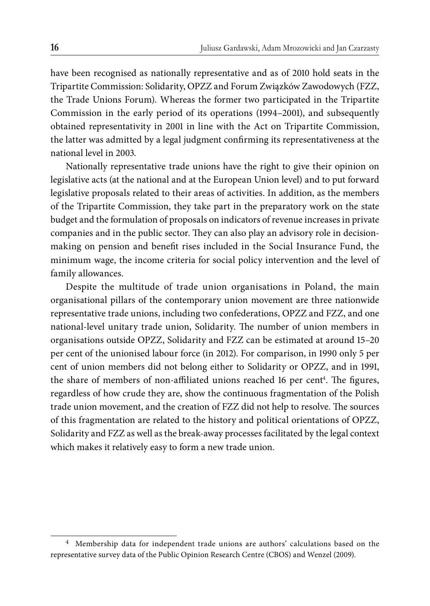have been recognised as nationally representative and as of 2010 hold seats in the Tripartite Commission: Solidarity, OPZZ and Forum Związków Zawodowych (FZZ, the Trade Unions Forum). Whereas the former two participated in the Tripartite Commission in the early period of its operations (1994–2001), and subsequently obtained representativity in 2001 in line with the Act on Tripartite Commission, the latter was admitted by a legal judgment confirming its representativeness at the national level in 2003.

Nationally representative trade unions have the right to give their opinion on legislative acts (at the national and at the European Union level) and to put forward legislative proposals related to their areas of activities. In addition, as the members of the Tripartite Commission, they take part in the preparatory work on the state budget and the formulation of proposals on indicators of revenue increases in private companies and in the public sector. They can also play an advisory role in decisionmaking on pension and benefit rises included in the Social Insurance Fund, the minimum wage, the income criteria for social policy intervention and the level of family allowances.

Despite the multitude of trade union organisations in Poland, the main organisational pillars of the contemporary union movement are three nationwide representative trade unions, including two confederations, OPZZ and FZZ, and one national-level unitary trade union, Solidarity. The number of union members in organisations outside OPZZ, Solidarity and FZZ can be estimated at around 15–20 per cent of the unionised labour force (in 2012). For comparison, in 1990 only 5 per cent of union members did not belong either to Solidarity or OPZZ, and in 1991, the share of members of non-affiliated unions reached 16 per cent<sup>4</sup>. The figures, regardless of how crude they are, show the continuous fragmentation of the Polish trade union movement, and the creation of FZZ did not help to resolve. The sources of this fragmentation are related to the history and political orientations of OPZZ, Solidarity and FZZ as well as the break-away processes facilitated by the legal context which makes it relatively easy to form a new trade union.

<sup>4</sup> Membership data for independent trade unions are authors' calculations based on the representative survey data of the Public Opinion Research Centre (CBOS) and Wenzel (2009).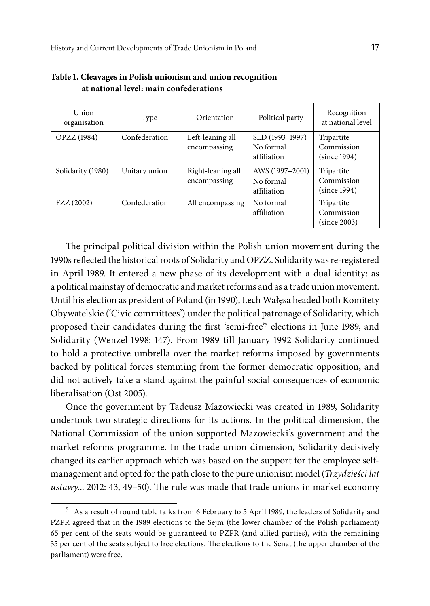| Union<br>organisation | Type          | Orientation                       | Political party                             | Recognition<br>at national level         |
|-----------------------|---------------|-----------------------------------|---------------------------------------------|------------------------------------------|
| <b>OPZZ</b> (1984)    | Confederation | Left-leaning all<br>encompassing  | SLD (1993-1997)<br>No formal<br>affiliation | Tripartite<br>Commission<br>(since 1994) |
| Solidarity (1980)     | Unitary union | Right-leaning all<br>encompassing | AWS (1997-2001)<br>No formal<br>affiliation | Tripartite<br>Commission<br>(since 1994) |
| FZZ (2002)            | Confederation | All encompassing                  | No formal<br>affiliation                    | Tripartite<br>Commission<br>(since 2003) |

#### **Table 1. Cleavages in Polish unionism and union recognition at national level: main confederations**

The principal political division within the Polish union movement during the 1990s reflected the historical roots of Solidarity and OPZZ. Solidarity was re-registered in April 1989. It entered a new phase of its development with a dual identity: as a political mainstay of democratic and market reforms and as a trade union movement. Until his election as president of Poland (in 1990), Lech Wałęsa headed both Komitety Obywatelskie ('Civic committees') under the political patronage of Solidarity, which proposed their candidates during the first 'semi-free'<sup>5</sup> elections in June 1989, and Solidarity (Wenzel 1998: 147). From 1989 till January 1992 Solidarity continued to hold a protective umbrella over the market reforms imposed by governments backed by political forces stemming from the former democratic opposition, and did not actively take a stand against the painful social consequences of economic liberalisation (Ost 2005).

Once the government by Tadeusz Mazowiecki was created in 1989, Solidarity undertook two strategic directions for its actions. In the political dimension, the National Commission of the union supported Mazowiecki's government and the market reforms programme. In the trade union dimension, Solidarity decisively changed its earlier approach which was based on the support for the employee selfmanagement and opted for the path close to the pure unionism model (*Trzydzieści lat ustawy...* 2012: 43, 49–50). The rule was made that trade unions in market economy

<sup>5</sup> As a result of round table talks from 6 February to 5 April 1989, the leaders of Solidarity and PZPR agreed that in the 1989 elections to the Sejm (the lower chamber of the Polish parliament) 65 per cent of the seats would be guaranteed to PZPR (and allied parties), with the remaining 35 per cent of the seats subject to free elections. The elections to the Senat (the upper chamber of the parliament) were free.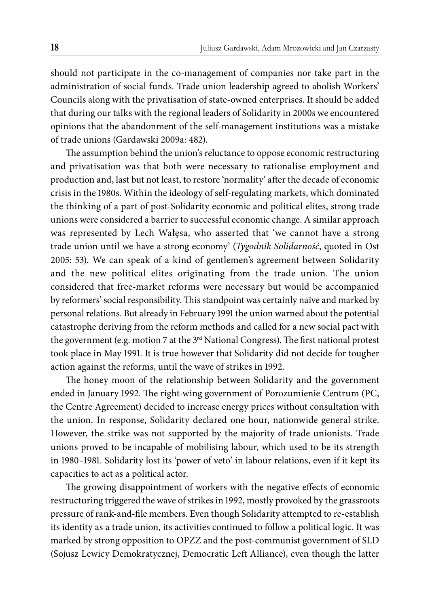should not participate in the co-management of companies nor take part in the administration of social funds. Trade union leadership agreed to abolish Workers' Councils along with the privatisation of state-owned enterprises. It should be added that during our talks with the regional leaders of Solidarity in 2000s we encountered opinions that the abandonment of the self-management institutions was a mistake of trade unions (Gardawski 2009a: 482).

The assumption behind the union's reluctance to oppose economic restructuring and privatisation was that both were necessary to rationalise employment and production and, last but not least, to restore 'normality' after the decade of economic crisis in the 1980s. Within the ideology of self-regulating markets, which dominated the thinking of a part of post-Solidarity economic and political elites, strong trade unions were considered a barrier to successful economic change. A similar approach was represented by Lech Wałęsa, who asserted that 'we cannot have a strong trade union until we have a strong economy' (*Tygodnik Solidarność*, quoted in Ost 2005: 53). We can speak of a kind of gentlemen's agreement between Solidarity and the new political elites originating from the trade union. The union considered that free-market reforms were necessary but would be accompanied by reformers' social responsibility. This standpoint was certainly naïve and marked by personal relations. But already in February 1991 the union warned about the potential catastrophe deriving from the reform methods and called for a new social pact with the government (e.g. motion 7 at the 3<sup>rd</sup> National Congress). The first national protest took place in May 1991. It is true however that Solidarity did not decide for tougher action against the reforms, until the wave of strikes in 1992.

The honey moon of the relationship between Solidarity and the government ended in January 1992. The right-wing government of Porozumienie Centrum (PC, the Centre Agreement) decided to increase energy prices without consultation with the union. In response, Solidarity declared one hour, nationwide general strike. However, the strike was not supported by the majority of trade unionists. Trade unions proved to be incapable of mobilising labour, which used to be its strength in 1980–1981. Solidarity lost its 'power of veto' in labour relations, even if it kept its capacities to act as a political actor.

The growing disappointment of workers with the negative effects of economic restructuring triggered the wave of strikes in 1992, mostly provoked by the grassroots pressure of rank-and-file members. Even though Solidarity attempted to re-establish its identity as a trade union, its activities continued to follow a political logic. It was marked by strong opposition to OPZZ and the post-communist government of SLD (Sojusz Lewicy Demokratycznej, Democratic Left Alliance), even though the latter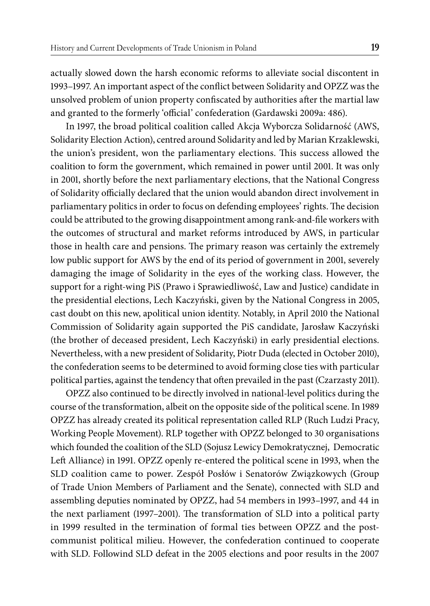actually slowed down the harsh economic reforms to alleviate social discontent in 1993–1997. An important aspect of the confl ict between Solidarity and OPZZ was the unsolved problem of union property confiscated by authorities after the martial law and granted to the formerly 'official' confederation (Gardawski 2009a: 486).

In 1997, the broad political coalition called Akcja Wyborcza Solidarność (AWS, Solidarity Election Action), centred around Solidarity and led by Marian Krzaklewski, the union's president, won the parliamentary elections. This success allowed the coalition to form the government, which remained in power until 2001. It was only in 2001, shortly before the next parliamentary elections, that the National Congress of Solidarity officially declared that the union would abandon direct involvement in parliamentary politics in order to focus on defending employees' rights. The decision could be attributed to the growing disappointment among rank-and-file workers with the outcomes of structural and market reforms introduced by AWS, in particular those in health care and pensions. The primary reason was certainly the extremely low public support for AWS by the end of its period of government in 2001, severely damaging the image of Solidarity in the eyes of the working class. However, the support for a right-wing PiS (Prawo i Sprawiedliwość, Law and Justice) candidate in the presidential elections, Lech Kaczyński, given by the National Congress in 2005, cast doubt on this new, apolitical union identity. Notably, in April 2010 the National Commission of Solidarity again supported the PiS candidate, Jarosław Kaczyński (the brother of deceased president, Lech Kaczyński) in early presidential elections. Nevertheless, with a new president of Solidarity, Piotr Duda (elected in October 2010), the confederation seems to be determined to avoid forming close ties with particular political parties, against the tendency that often prevailed in the past (Czarzasty 2011).

OPZZ also continued to be directly involved in national-level politics during the course of the transformation, albeit on the opposite side of the political scene. In 1989 OPZZ has already created its political representation called RLP (Ruch Ludzi Pracy, Working People Movement). RLP together with OPZZ belonged to 30 organisations which founded the coalition of the SLD (Sojusz Lewicy Demokratycznej, Democratic Left Alliance) in 1991. OPZZ openly re-entered the political scene in 1993, when the SLD coalition came to power. Zespół Posłów i Senatorów Związkowych (Group of Trade Union Members of Parliament and the Senate), connected with SLD and assembling deputies nominated by OPZZ, had 54 members in 1993–1997, and 44 in the next parliament (1997–2001). The transformation of SLD into a political party in 1999 resulted in the termination of formal ties between OPZZ and the postcommunist political milieu. However, the confederation continued to cooperate with SLD. Followind SLD defeat in the 2005 elections and poor results in the 2007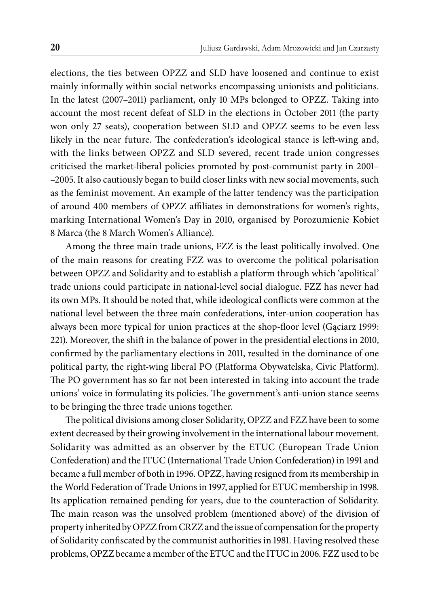elections, the ties between OPZZ and SLD have loosened and continue to exist mainly informally within social networks encompassing unionists and politicians. In the latest (2007–2011) parliament, only 10 MPs belonged to OPZZ. Taking into account the most recent defeat of SLD in the elections in October 2011 (the party won only 27 seats), cooperation between SLD and OPZZ seems to be even less likely in the near future. The confederation's ideological stance is left-wing and, with the links between OPZZ and SLD severed, recent trade union congresses criticised the market-liberal policies promoted by post-communist party in 2001– –2005. It also cautiously began to build closer links with new social movements, such as the feminist movement. An example of the latter tendency was the participation of around 400 members of OPZZ affiliates in demonstrations for women's rights, marking International Women's Day in 2010, organised by Porozumienie Kobiet 8 Marca (the 8 March Women's Alliance).

Among the three main trade unions, FZZ is the least politically involved. One of the main reasons for creating FZZ was to overcome the political polarisation between OPZZ and Solidarity and to establish a platform through which 'apolitical' trade unions could participate in national-level social dialogue. FZZ has never had its own MPs. It should be noted that, while ideological conflicts were common at the national level between the three main confederations, inter-union cooperation has always been more typical for union practices at the shop-floor level (Gaciarz 1999: 221). Moreover, the shift in the balance of power in the presidential elections in 2010, confirmed by the parliamentary elections in 2011, resulted in the dominance of one political party, the right-wing liberal PO (Platforma Obywatelska, Civic Platform). The PO government has so far not been interested in taking into account the trade unions' voice in formulating its policies. The government's anti-union stance seems to be bringing the three trade unions together.

The political divisions among closer Solidarity, OPZZ and FZZ have been to some extent decreased by their growing involvement in the international labour movement. Solidarity was admitted as an observer by the ETUC (European Trade Union Confederation) and the ITUC (International Trade Union Confederation) in 1991 and became a full member of both in 1996. OPZZ, having resigned from its membership in the World Federation of Trade Unions in 1997, applied for ETUC membership in 1998. Its application remained pending for years, due to the counteraction of Solidarity. The main reason was the unsolved problem (mentioned above) of the division of property inherited by OPZZ from CRZZ and the issue of compensation for the property of Solidarity confiscated by the communist authorities in 1981. Having resolved these problems, OPZZ became a member of the ETUC and the ITUC in 2006. FZZ used to be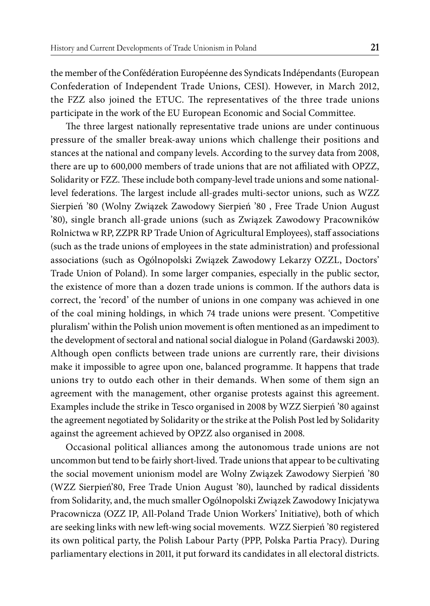the member of the Confédération Européenne des Syndicats Indépendants (European Confederation of Independent Trade Unions, CESI). However, in March 2012, the FZZ also joined the ETUC. The representatives of the three trade unions participate in the work of the EU European Economic and Social Committee.

The three largest nationally representative trade unions are under continuous pressure of the smaller break-away unions which challenge their positions and stances at the national and company levels. According to the survey data from 2008, there are up to 600,000 members of trade unions that are not affiliated with OPZZ, Solidarity or FZZ. These include both company-level trade unions and some nationallevel federations. The largest include all-grades multi-sector unions, such as WZZ Sierpień '80 (Wolny Związek Zawodowy Sierpień '80 , Free Trade Union August '80), single branch all-grade unions (such as Związek Zawodowy Pracowników Rolnictwa w RP, ZZPR RP Trade Union of Agricultural Employees), staff associations (such as the trade unions of employees in the state administration) and professional associations (such as Ogólnopolski Związek Zawodowy Lekarzy OZZL, Doctors' Trade Union of Poland). In some larger companies, especially in the public sector, the existence of more than a dozen trade unions is common. If the authors data is correct, the 'record' of the number of unions in one company was achieved in one of the coal mining holdings, in which 74 trade unions were present. 'Competitive pluralism' within the Polish union movement is often mentioned as an impediment to the development of sectoral and national social dialogue in Poland (Gardawski 2003). Although open conflicts between trade unions are currently rare, their divisions make it impossible to agree upon one, balanced programme. It happens that trade unions try to outdo each other in their demands. When some of them sign an agreement with the management, other organise protests against this agreement. Examples include the strike in Tesco organised in 2008 by WZZ Sierpień '80 against the agreement negotiated by Solidarity or the strike at the Polish Post led by Solidarity against the agreement achieved by OPZZ also organised in 2008.

Occasional political alliances among the autonomous trade unions are not uncommon but tend to be fairly short-lived. Trade unions that appear to be cultivating the social movement unionism model are Wolny Związek Zawodowy Sierpień '80 (WZZ Sierpień'80, Free Trade Union August '80), launched by radical dissidents from Solidarity, and, the much smaller Ogólnopolski Związek Zawodowy Inicjatywa Pracownicza (OZZ IP, All-Poland Trade Union Workers' Initiative), both of which are seeking links with new left-wing social movements. WZZ Sierpień '80 registered its own political party, the Polish Labour Party (PPP, Polska Partia Pracy). During parliamentary elections in 2011, it put forward its candidates in all electoral districts.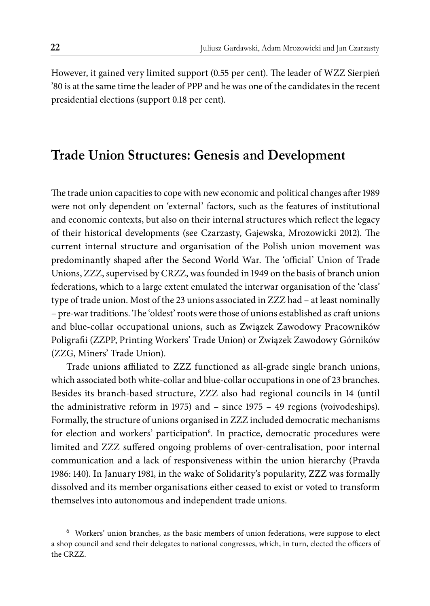However, it gained very limited support (0.55 per cent). The leader of WZZ Sierpień '80 is at the same time the leader of PPP and he was one of the candidates in the recent presidential elections (support 0.18 per cent).

### **Trade Union Structures: Genesis and Development**

The trade union capacities to cope with new economic and political changes after 1989 were not only dependent on 'external' factors, such as the features of institutional and economic contexts, but also on their internal structures which reflect the legacy of their historical developments (see Czarzasty, Gajewska, Mrozowicki 2012). The current internal structure and organisation of the Polish union movement was predominantly shaped after the Second World War. The 'official' Union of Trade Unions, ZZZ, supervised by CRZZ, was founded in 1949 on the basis of branch union federations, which to a large extent emulated the interwar organisation of the 'class' type of trade union. Most of the 23 unions associated in ZZZ had – at least nominally – pre-war traditions. The 'oldest' roots were those of unions established as craft unions and blue-collar occupational unions, such as Związek Zawodowy Pracowników Poligrafi i (ZZPP, Printing Workers' Trade Union) or Związek Zawodowy Górników (ZZG, Miners' Trade Union).

Trade unions affiliated to ZZZ functioned as all-grade single branch unions, which associated both white-collar and blue-collar occupations in one of 23 branches. Besides its branch-based structure, ZZZ also had regional councils in 14 (until the administrative reform in 1975) and – since 1975 – 49 regions (voivodeships). Formally, the structure of unions organised in ZZZ included democratic mechanisms for election and workers' participation<sup>6</sup>. In practice, democratic procedures were limited and ZZZ suffered ongoing problems of over-centralisation, poor internal communication and a lack of responsiveness within the union hierarchy (Pravda 1986: 140). In January 1981, in the wake of Solidarity's popularity, ZZZ was formally dissolved and its member organisations either ceased to exist or voted to transform themselves into autonomous and independent trade unions.

<sup>6</sup> Workers' union branches, as the basic members of union federations, were suppose to elect a shop council and send their delegates to national congresses, which, in turn, elected the officers of the CRZZ.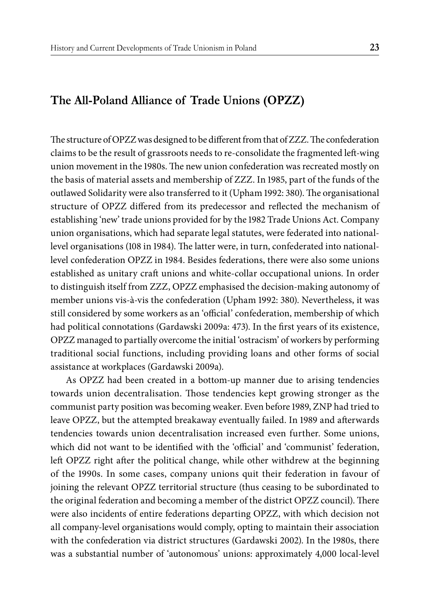#### **The All-Poland Alliance of Trade Unions (OPZZ)**

The structure of OPZZ was designed to be different from that of ZZZ. The confederation claims to be the result of grassroots needs to re-consolidate the fragmented left -wing union movement in the 1980s. The new union confederation was recreated mostly on the basis of material assets and membership of ZZZ. In 1985, part of the funds of the outlawed Solidarity were also transferred to it (Upham 1992: 380). The organisational structure of OPZZ differed from its predecessor and reflected the mechanism of establishing 'new' trade unions provided for by the 1982 Trade Unions Act. Company union organisations, which had separate legal statutes, were federated into nationallevel organisations (108 in 1984). The latter were, in turn, confederated into nationallevel confederation OPZZ in 1984. Besides federations, there were also some unions established as unitary craft unions and white-collar occupational unions. In order to distinguish itself from ZZZ, OPZZ emphasised the decision-making autonomy of member unions vis-à-vis the confederation (Upham 1992: 380). Nevertheless, it was still considered by some workers as an 'official' confederation, membership of which had political connotations (Gardawski 2009a: 473). In the first years of its existence, OPZZ managed to partially overcome the initial 'ostracism' of workers by performing traditional social functions, including providing loans and other forms of social assistance at workplaces (Gardawski 2009a).

As OPZZ had been created in a bottom-up manner due to arising tendencies towards union decentralisation. Those tendencies kept growing stronger as the communist party position was becoming weaker. Even before 1989, ZNP had tried to leave OPZZ, but the attempted breakaway eventually failed. In 1989 and afterwards tendencies towards union decentralisation increased even further. Some unions, which did not want to be identified with the 'official' and 'communist' federation, left OPZZ right after the political change, while other withdrew at the beginning of the 1990s. In some cases, company unions quit their federation in favour of joining the relevant OPZZ territorial structure (thus ceasing to be subordinated to the original federation and becoming a member of the district OPZZ council). There were also incidents of entire federations departing OPZZ, with which decision not all company-level organisations would comply, opting to maintain their association with the confederation via district structures (Gardawski 2002). In the 1980s, there was a substantial number of 'autonomous' unions: approximately 4,000 local-level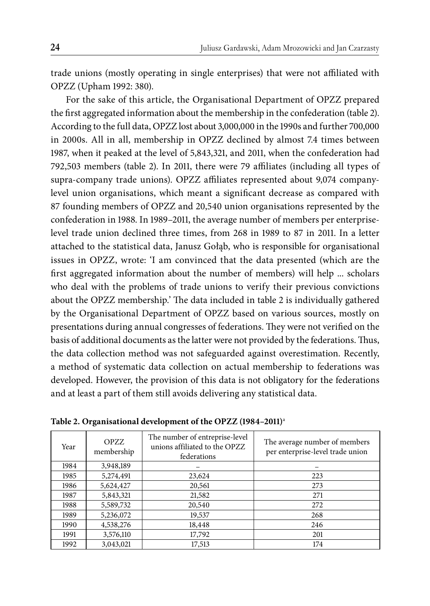trade unions (mostly operating in single enterprises) that were not affiliated with OPZZ (Upham 1992: 380).

For the sake of this article, the Organisational Department of OPZZ prepared the first aggregated information about the membership in the confederation (table 2). According to the full data, OPZZ lost about 3,000,000 in the 1990s and further 700,000 in 2000s. All in all, membership in OPZZ declined by almost 7.4 times between 1987, when it peaked at the level of 5,843,321, and 2011, when the confederation had 792,503 members (table 2). In 2011, there were 79 affiliates (including all types of supra-company trade unions). OPZZ affiliates represented about 9,074 companylevel union organisations, which meant a significant decrease as compared with 87 founding members of OPZZ and 20,540 union organisations represented by the confederation in 1988. In 1989–2011, the average number of members per enterpriselevel trade union declined three times, from 268 in 1989 to 87 in 2011. In a letter attached to the statistical data, Janusz Gołąb, who is responsible for organisational issues in OPZZ, wrote: 'I am convinced that the data presented (which are the first aggregated information about the number of members) will help ... scholars who deal with the problems of trade unions to verify their previous convictions about the OPZZ membership.' The data included in table 2 is individually gathered by the Organisational Department of OPZZ based on various sources, mostly on presentations during annual congresses of federations. They were not verified on the basis of additional documents as the latter were not provided by the federations. Thus, the data collection method was not safeguarded against overestimation. Recently, a method of systematic data collection on actual membership to federations was developed. However, the provision of this data is not obligatory for the federations and at least a part of them still avoids delivering any statistical data.

| Year | <b>OPZZ</b><br>membership | The number of entreprise-level<br>unions affiliated to the OPZZ<br>federations | The average number of members<br>per enterprise-level trade union |
|------|---------------------------|--------------------------------------------------------------------------------|-------------------------------------------------------------------|
| 1984 | 3,948,189                 |                                                                                |                                                                   |
| 1985 | 5,274,491                 | 23,624                                                                         | 223                                                               |
| 1986 | 5,624,427                 | 20,561                                                                         | 273                                                               |
| 1987 | 5,843,321                 | 21,582                                                                         | 271                                                               |
| 1988 | 5,589,732                 | 20,540                                                                         | 272                                                               |
| 1989 | 5,236,072                 | 19,537                                                                         | 268                                                               |
| 1990 | 4,538,276                 | 18,448                                                                         | 246                                                               |
| 1991 | 3,576,110                 | 17,792                                                                         | 201                                                               |
| 1992 | 3,043,021                 | 17,513                                                                         | 174                                                               |

**Table 2. Organisational development of the OPZZ (1984–2011)**<sup>a</sup>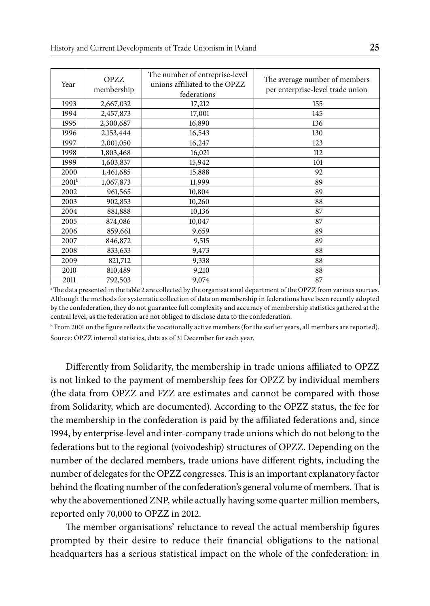| Year              | <b>OPZZ</b><br>membership | The number of entreprise-level<br>unions affiliated to the OPZZ<br>federations | The average number of members<br>per enterprise-level trade union |
|-------------------|---------------------------|--------------------------------------------------------------------------------|-------------------------------------------------------------------|
| 1993              | 2,667,032                 | 17,212                                                                         | 155                                                               |
| 1994              | 2,457,873                 | 17,001                                                                         | 145                                                               |
| 1995              | 2,300,687                 | 16,890                                                                         | 136                                                               |
| 1996              | 2,153,444                 | 16,543                                                                         | 130                                                               |
| 1997              | 2,001,050                 | 16,247                                                                         | 123                                                               |
| 1998              | 1,803,468                 | 16,021                                                                         | 112                                                               |
| 1999              | 1,603,837                 | 15,942                                                                         | 101                                                               |
| 2000              | 1,461,685                 | 15,888                                                                         | 92                                                                |
| 2001 <sup>b</sup> | 1,067,873                 | 11,999                                                                         | 89                                                                |
| 2002              | 961,565                   | 10,804                                                                         | 89                                                                |
| 2003              | 902,853                   | 10,260                                                                         | 88                                                                |
| 2004              | 881,888                   | 10,136                                                                         | 87                                                                |
| 2005              | 874,086                   | 10,047                                                                         | 87                                                                |
| 2006              | 859,661                   | 9,659                                                                          | 89                                                                |
| 2007              | 846,872                   | 9,515                                                                          | 89                                                                |
| 2008              | 833,633                   | 9,473                                                                          | 88                                                                |
| 2009              | 821,712                   | 9,338                                                                          | 88                                                                |
| 2010              | 810,489                   | 9,210                                                                          | 88                                                                |
| 2011              | 792,503                   | 9,074                                                                          | 87                                                                |

<sup>a</sup> The data presented in the table 2 are collected by the organisational department of the OPZZ from various sources. Although the methods for systematic collection of data on membership in federations have been recently adopted by the confederation, they do not guarantee full complexity and accuracy of membership statistics gathered at the central level, as the federation are not obliged to disclose data to the confederation.

 $^{\rm b}$  From 2001 on the figure reflects the vocationally active members (for the earlier years, all members are reported). Source: OPZZ internal statistics, data as of 31 December for each year.

Differently from Solidarity, the membership in trade unions affiliated to OPZZ is not linked to the payment of membership fees for OPZZ by individual members (the data from OPZZ and FZZ are estimates and cannot be compared with those from Solidarity, which are documented). According to the OPZZ status, the fee for the membership in the confederation is paid by the affiliated federations and, since 1994, by enterprise-level and inter-company trade unions which do not belong to the federations but to the regional (voivodeship) structures of OPZZ. Depending on the number of the declared members, trade unions have different rights, including the number of delegates for the OPZZ congresses. This is an important explanatory factor behind the floating number of the confederation's general volume of members. That is why the abovementioned ZNP, while actually having some quarter million members, reported only 70,000 to OPZZ in 2012.

The member organisations' reluctance to reveal the actual membership figures prompted by their desire to reduce their financial obligations to the national headquarters has a serious statistical impact on the whole of the confederation: in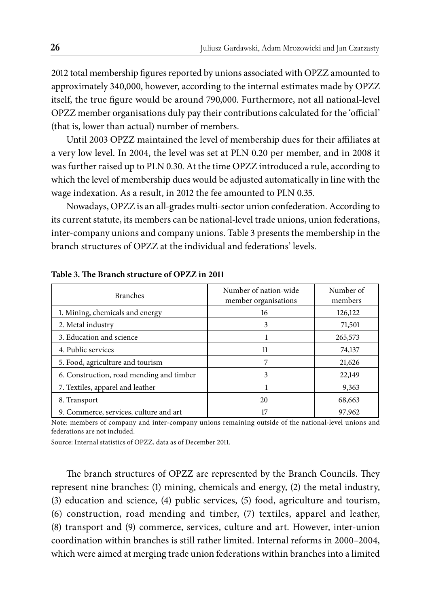2012 total membership figures reported by unions associated with OPZZ amounted to approximately 340,000, however, according to the internal estimates made by OPZZ itself, the true figure would be around 790,000. Furthermore, not all national-level OPZZ member organisations duly pay their contributions calculated for the 'official' (that is, lower than actual) number of members.

Until 2003 OPZZ maintained the level of membership dues for their affiliates at a very low level. In 2004, the level was set at PLN 0.20 per member, and in 2008 it was further raised up to PLN 0.30. At the time OPZZ introduced a rule, according to which the level of membership dues would be adjusted automatically in line with the wage indexation. As a result, in 2012 the fee amounted to PLN 0.35.

Nowadays, OPZZ is an all-grades multi-sector union confederation. According to its current statute, its members can be national-level trade unions, union federations, inter-company unions and company unions. Table 3 presents the membership in the branch structures of OPZZ at the individual and federations' levels.

| <b>Branches</b>                          | Number of nation-wide<br>member organisations | Number of<br>members |
|------------------------------------------|-----------------------------------------------|----------------------|
| 1. Mining, chemicals and energy          | 16                                            | 126,122              |
| 2. Metal industry                        | 3                                             | 71,501               |
| 3. Education and science                 |                                               | 265,573              |
| 4. Public services                       | 11                                            | 74,137               |
| 5. Food, agriculture and tourism         |                                               | 21,626               |
| 6. Construction, road mending and timber | 3                                             | 22,149               |
| 7. Textiles, apparel and leather         |                                               | 9,363                |
| 8. Transport                             | 20                                            | 68,663               |
| 9. Commerce, services, culture and art   | 17                                            | 97,962               |

Table 3. The Branch structure of OPZZ in 2011

Note: members of company and inter-company unions remaining outside of the national-level unions and federations are not included.

Source: Internal statistics of OPZZ, data as of December 2011.

The branch structures of OPZZ are represented by the Branch Councils. They represent nine branches: (1) mining, chemicals and energy, (2) the metal industry, (3) education and science, (4) public services, (5) food, agriculture and tourism, (6) construction, road mending and timber, (7) textiles, apparel and leather, (8) transport and (9) commerce, services, culture and art. However, inter-union coordination within branches is still rather limited. Internal reforms in 2000–2004, which were aimed at merging trade union federations within branches into a limited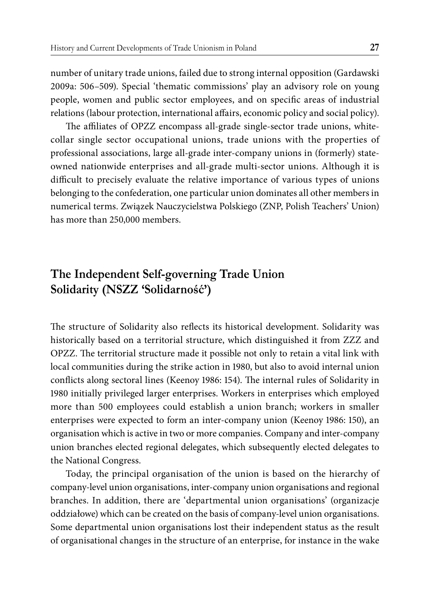number of unitary trade unions, failed due to strong internal opposition (Gardawski 2009a: 506–509). Special 'thematic commissions' play an advisory role on young people, women and public sector employees, and on specific areas of industrial relations (labour protection, international affairs, economic policy and social policy).

The affiliates of OPZZ encompass all-grade single-sector trade unions, whitecollar single sector occupational unions, trade unions with the properties of professional associations, large all-grade inter-company unions in (formerly) stateowned nationwide enterprises and all-grade multi-sector unions. Although it is difficult to precisely evaluate the relative importance of various types of unions belonging to the confederation, one particular union dominates all other members in numerical terms. Związek Nauczycielstwa Polskiego (ZNP, Polish Teachers' Union) has more than 250,000 members.

### **The Independent Self-governing Trade Union Solidarity (NSZZ 'Solidarność')**

The structure of Solidarity also reflects its historical development. Solidarity was historically based on a territorial structure, which distinguished it from ZZZ and OPZZ. The territorial structure made it possible not only to retain a vital link with local communities during the strike action in 1980, but also to avoid internal union conflicts along sectoral lines (Keenoy 1986: 154). The internal rules of Solidarity in 1980 initially privileged larger enterprises. Workers in enterprises which employed more than 500 employees could establish a union branch; workers in smaller enterprises were expected to form an inter-company union (Keenoy 1986: 150), an organisation which is active in two or more companies. Company and inter-company union branches elected regional delegates, which subsequently elected delegates to the National Congress.

Today, the principal organisation of the union is based on the hierarchy of company-level union organisations, inter-company union organisations and regional branches. In addition, there are 'departmental union organisations' (organizacje oddziałowe) which can be created on the basis of company-level union organisations. Some departmental union organisations lost their independent status as the result of organisational changes in the structure of an enterprise, for instance in the wake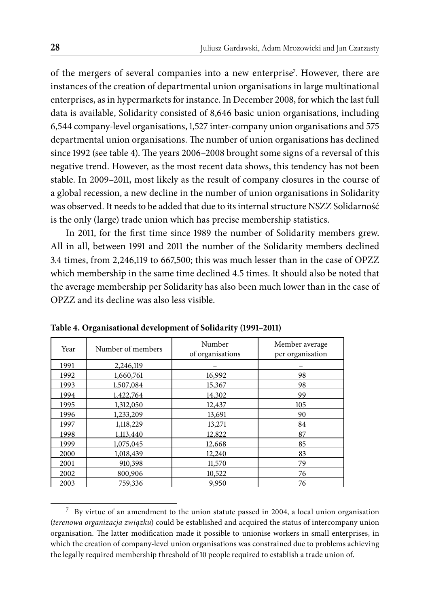of the mergers of several companies into a new enterprise<sup>7</sup>. However, there are instances of the creation of departmental union organisations in large multinational enterprises, as in hypermarkets for instance. In December 2008, for which the last full data is available, Solidarity consisted of 8,646 basic union organisations, including 6,544 company-level organisations, 1,527 inter-company union organisations and 575 departmental union organisations. The number of union organisations has declined since 1992 (see table 4). The years 2006-2008 brought some signs of a reversal of this negative trend. However, as the most recent data shows, this tendency has not been stable. In 2009–2011, most likely as the result of company closures in the course of a global recession, a new decline in the number of union organisations in Solidarity was observed. It needs to be added that due to its internal structure NSZZ Solidarność is the only (large) trade union which has precise membership statistics.

In 2011, for the first time since 1989 the number of Solidarity members grew. All in all, between 1991 and 2011 the number of the Solidarity members declined 3.4 times, from 2,246,119 to 667,500; this was much lesser than in the case of OPZZ which membership in the same time declined 4.5 times. It should also be noted that the average membership per Solidarity has also been much lower than in the case of OPZZ and its decline was also less visible.

| Year | Number of members | Number<br>of organisations | Member average<br>per organisation |
|------|-------------------|----------------------------|------------------------------------|
| 1991 | 2,246,119         |                            |                                    |
| 1992 | 1,660,761         | 16,992                     | 98                                 |
| 1993 | 1,507,084         | 15,367                     | 98                                 |
| 1994 | 1,422,764         | 14,302                     | 99                                 |
| 1995 | 1,312,050         | 12,437                     | 105                                |
| 1996 | 1,233,209         | 13,691                     | 90                                 |
| 1997 | 1,118,229         | 13,271                     | 84                                 |
| 1998 | 1,113,440         | 12,822                     | 87                                 |
| 1999 | 1,075,045         | 12,668                     | 85                                 |
| 2000 | 1,018,439         | 12,240                     | 83                                 |
| 2001 | 910,398           | 11,570                     | 79                                 |
| 2002 | 800,906           | 10,522                     | 76                                 |
| 2003 | 759,336           | 9,950                      | 76                                 |

**Table 4. Organisational development of Solidarity (1991–2011)**

<sup>7</sup> By virtue of an amendment to the union statute passed in 2004, a local union organisation (*terenowa organizacja związku*) could be established and acquired the status of intercompany union organisation. The latter modification made it possible to unionise workers in small enterprises, in which the creation of company-level union organisations was constrained due to problems achieving the legally required membership threshold of 10 people required to establish a trade union of.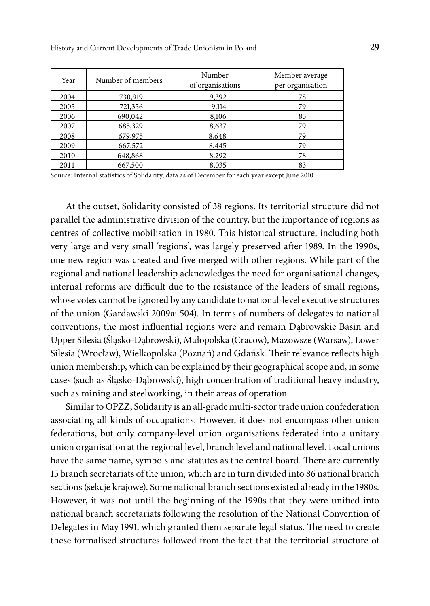| Year | Number of members | Number<br>of organisations | Member average<br>per organisation |
|------|-------------------|----------------------------|------------------------------------|
| 2004 | 730,919           | 9,392                      | 78                                 |
| 2005 | 721,356           | 9,114                      | 79                                 |
| 2006 | 690,042           | 8,106                      | 85                                 |
| 2007 | 685,329           | 8,637                      | 79                                 |
| 2008 | 679,975           | 8,648                      | 79                                 |
| 2009 | 667,572           | 8,445                      | 79                                 |
| 2010 | 648,868           | 8,292                      | 78                                 |
| 2011 | 667,500           | 8,035                      | 83                                 |

Source: Internal statistics of Solidarity, data as of December for each year except June 2010.

At the outset, Solidarity consisted of 38 regions. Its territorial structure did not parallel the administrative division of the country, but the importance of regions as centres of collective mobilisation in 1980. This historical structure, including both very large and very small 'regions', was largely preserved after 1989. In the 1990s, one new region was created and five merged with other regions. While part of the regional and national leadership acknowledges the need for organisational changes, internal reforms are difficult due to the resistance of the leaders of small regions, whose votes cannot be ignored by any candidate to national-level executive structures of the union (Gardawski 2009a: 504). In terms of numbers of delegates to national conventions, the most influential regions were and remain Dabrowskie Basin and Upper Silesia (Śląsko-Dąbrowski), Małopolska (Cracow), Mazowsze (Warsaw), Lower Silesia (Wrocław), Wielkopolska (Poznań) and Gdańsk. Their relevance reflects high union membership, which can be explained by their geographical scope and, in some cases (such as Śląsko-Dąbrowski), high concentration of traditional heavy industry, such as mining and steelworking, in their areas of operation.

Similar to OPZZ, Solidarity is an all-grade multi-sector trade union confederation associating all kinds of occupations. However, it does not encompass other union federations, but only company-level union organisations federated into a unitary union organisation at the regional level, branch level and national level. Local unions have the same name, symbols and statutes as the central board. There are currently 15 branch secretariats of the union, which are in turn divided into 86 national branch sections (sekcje krajowe). Some national branch sections existed already in the 1980s. However, it was not until the beginning of the 1990s that they were unified into national branch secretariats following the resolution of the National Convention of Delegates in May 1991, which granted them separate legal status. The need to create these formalised structures followed from the fact that the territorial structure of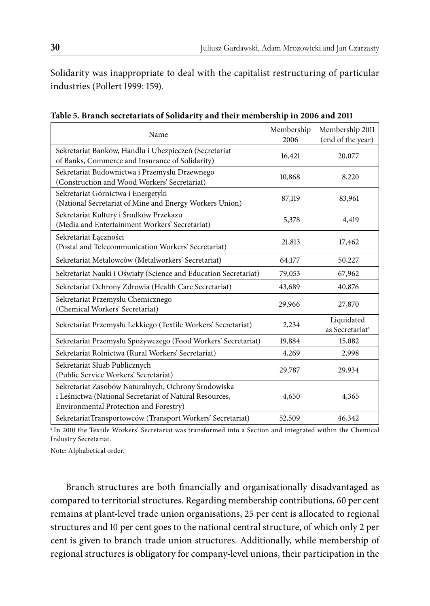Solidarity was inappropriate to deal with the capitalist restructuring of particular industries (Pollert 1999: 159).

| Name                                                                                                                                                     | Membership<br>2006 | Membership 2011<br>(end of the year)      |
|----------------------------------------------------------------------------------------------------------------------------------------------------------|--------------------|-------------------------------------------|
| Sekretariat Banków, Handlu i Ubezpieczeń (Secretariat<br>of Banks, Commerce and Insurance of Solidarity)                                                 | 16,421             | 20,077                                    |
| Sekretariat Budownictwa i Przemysłu Drzewnego<br>(Construction and Wood Workers' Secretariat)                                                            | 10,868             | 8,220                                     |
| Sekretariat Górnictwa i Energetyki<br>(National Secretariat of Mine and Energy Workers Union)                                                            | 87,119             | 83,961                                    |
| Sekretariat Kultury i Środków Przekazu<br>(Media and Entertainment Workers' Secretariat)                                                                 | 5,378              | 4,419                                     |
| Sekretariat Łączności<br>(Postal and Telecommunication Workers' Secretariat)                                                                             | 21,813             | 17,462                                    |
| Sekretariat Metalowców (Metalworkers' Secretariat)                                                                                                       | 64,177             | 50,227                                    |
| Sekretariat Nauki i Oświaty (Science and Education Secretariat)                                                                                          | 79,053             | 67,962                                    |
| Sekretariat Ochrony Zdrowia (Health Care Secretariat)                                                                                                    | 43,689             | 40,876                                    |
| Sekretariat Przemysłu Chemicznego<br>(Chemical Workers' Secretariat)                                                                                     | 29,966             | 27,870                                    |
| Sekretariat Przemysłu Lekkiego (Textile Workers' Secretariat)                                                                                            | 2,234              | Liquidated<br>as Secretariat <sup>a</sup> |
| Sekretariat Przemysłu Spożywczego (Food Workers' Secretariat)                                                                                            | 19,884             | 15,082                                    |
| Sekretariat Rolnictwa (Rural Workers' Secretariat)                                                                                                       | 4,269              | 2,998                                     |
| Sekretariat Służb Publicznych<br>(Public Service Workers' Secretariat)                                                                                   | 29,787             | 29,934                                    |
| Sekretariat Zasobów Naturalnych, Ochrony Środowiska<br>i Leśnictwa (National Secretariat of Natural Resources,<br>Environmental Protection and Forestry) | 4,650              | 4,365                                     |
| SekretariatTransportowców (Transport Workers' Secretariat)                                                                                               | 52,509             | 46,342                                    |

**Table 5. Branch secretariats of Solidarity and their membership in 2006 and 2011**

a In 2010 the Textile Workers' Secretariat was transformed into a Section and integrated within the Chemical Industry Secretariat.

Note: Alphabetical order.

Branch structures are both financially and organisationally disadvantaged as compared to territorial structures. Regarding membership contributions, 60 per cent remains at plant-level trade union organisations, 25 per cent is allocated to regional structures and 10 per cent goes to the national central structure, of which only 2 per cent is given to branch trade union structures. Additionally, while membership of regional structures is obligatory for company-level unions, their participation in the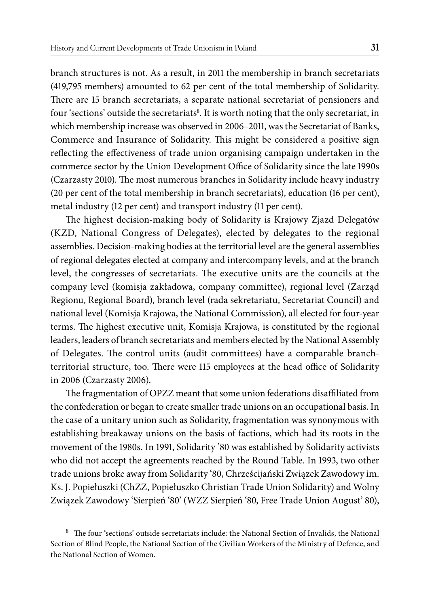branch structures is not. As a result, in 2011 the membership in branch secretariats (419,795 members) amounted to 62 per cent of the total membership of Solidarity. There are 15 branch secretariats, a separate national secretariat of pensioners and four 'sections' outside the secretariats $^{\rm 8}$ . It is worth noting that the only secretariat, in which membership increase was observed in 2006–2011, was the Secretariat of Banks, Commerce and Insurance of Solidarity. This might be considered a positive sign reflecting the effectiveness of trade union organising campaign undertaken in the commerce sector by the Union Development Office of Solidarity since the late 1990s (Czarzasty 2010). The most numerous branches in Solidarity include heavy industry (20 per cent of the total membership in branch secretariats), education (16 per cent), metal industry (12 per cent) and transport industry (11 per cent).

The highest decision-making body of Solidarity is Krajowy Zjazd Delegatów (KZD, National Congress of Delegates), elected by delegates to the regional assemblies. Decision-making bodies at the territorial level are the general assemblies of regional delegates elected at company and intercompany levels, and at the branch level, the congresses of secretariats. The executive units are the councils at the company level (komisja zakładowa, company committee), regional level (Zarząd Regionu, Regional Board), branch level (rada sekretariatu, Secretariat Council) and national level (Komisja Krajowa, the National Commission), all elected for four-year terms. The highest executive unit, Komisja Krajowa, is constituted by the regional leaders, leaders of branch secretariats and members elected by the National Assembly of Delegates. The control units (audit committees) have a comparable branchterritorial structure, too. There were 115 employees at the head office of Solidarity in 2006 (Czarzasty 2006).

The fragmentation of OPZZ meant that some union federations disaffiliated from the confederation or began to create smaller trade unions on an occupational basis. In the case of a unitary union such as Solidarity, fragmentation was synonymous with establishing breakaway unions on the basis of factions, which had its roots in the movement of the 1980s. In 1991, Solidarity '80 was established by Solidarity activists who did not accept the agreements reached by the Round Table. In 1993, two other trade unions broke away from Solidarity '80, Chrześcijański Związek Zawodowy im. Ks. J. Popiełuszki (ChZZ, Popiełuszko Christian Trade Union Solidarity) and Wolny Związek Zawodowy 'Sierpień '80' (WZZ Sierpień '80, Free Trade Union August' 80),

<sup>&</sup>lt;sup>8</sup> The four 'sections' outside secretariats include: the National Section of Invalids, the National Section of Blind People, the National Section of the Civilian Workers of the Ministry of Defence, and the National Section of Women.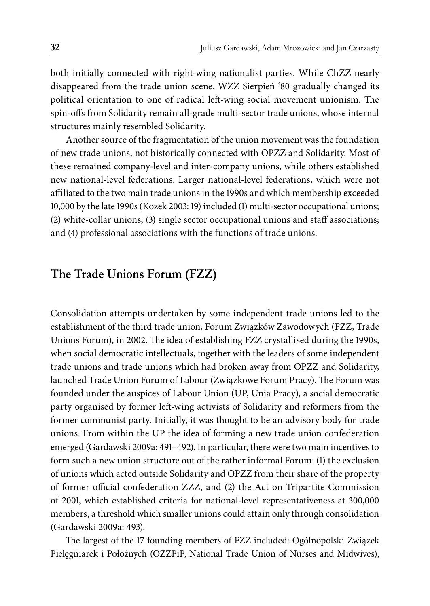both initially connected with right-wing nationalist parties. While ChZZ nearly disappeared from the trade union scene, WZZ Sierpień '80 gradually changed its political orientation to one of radical left-wing social movement unionism. The spin-offs from Solidarity remain all-grade multi-sector trade unions, whose internal structures mainly resembled Solidarity.

Another source of the fragmentation of the union movement was the foundation of new trade unions, not historically connected with OPZZ and Solidarity. Most of these remained company-level and inter-company unions, while others established new national-level federations. Larger national-level federations, which were not affiliated to the two main trade unions in the 1990s and which membership exceeded 10,000 by the late 1990s (Kozek 2003: 19) included (1) multi-sector occupational unions; (2) white-collar unions; (3) single sector occupational unions and staff associations; and (4) professional associations with the functions of trade unions.

#### **The Trade Unions Forum (FZZ)**

Consolidation attempts undertaken by some independent trade unions led to the establishment of the third trade union, Forum Związków Zawodowych (FZZ, Trade Unions Forum), in 2002. The idea of establishing FZZ crystallised during the 1990s, when social democratic intellectuals, together with the leaders of some independent trade unions and trade unions which had broken away from OPZZ and Solidarity, launched Trade Union Forum of Labour (Związkowe Forum Pracy). The Forum was founded under the auspices of Labour Union (UP, Unia Pracy), a social democratic party organised by former left-wing activists of Solidarity and reformers from the former communist party. Initially, it was thought to be an advisory body for trade unions. From within the UP the idea of forming a new trade union confederation emerged (Gardawski 2009a: 491–492). In particular, there were two main incentives to form such a new union structure out of the rather informal Forum: (1) the exclusion of unions which acted outside Solidarity and OPZZ from their share of the property of former official confederation ZZZ, and (2) the Act on Tripartite Commission of 2001, which established criteria for national-level representativeness at 300,000 members, a threshold which smaller unions could attain only through consolidation (Gardawski 2009a: 493).

The largest of the 17 founding members of FZZ included: Ogólnopolski Związek Pielęgniarek i Położnych (OZZPiP, National Trade Union of Nurses and Midwives),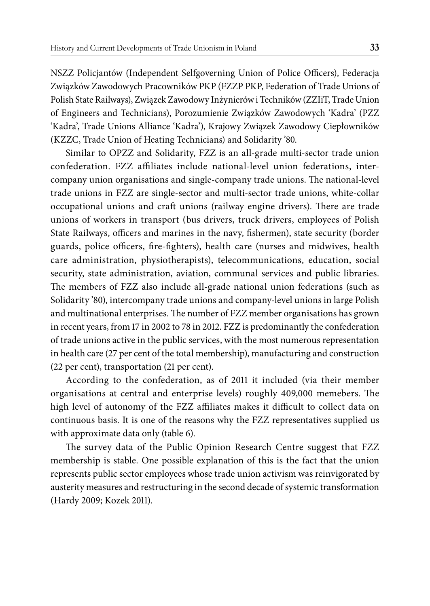NSZZ Policjantów (Independent Selfgoverning Union of Police Officers), Federacja Związków Zawodowych Pracowników PKP (FZZP PKP, Federation of Trade Unions of Polish State Railways), Związek Zawodowy Inżynierów i Techników (ZZIiT, Trade Union of Engineers and Technicians), Porozumienie Związków Zawodowych 'Kadra' (PZZ 'Kadra', Trade Unions Alliance 'Kadra'), Krajowy Związek Zawodowy Ciepłowników (KZZC, Trade Union of Heating Technicians) and Solidarity '80.

Similar to OPZZ and Solidarity, FZZ is an all-grade multi-sector trade union confederation. FZZ affiliates include national-level union federations, intercompany union organisations and single-company trade unions. The national-level trade unions in FZZ are single-sector and multi-sector trade unions, white-collar occupational unions and craft unions (railway engine drivers). There are trade unions of workers in transport (bus drivers, truck drivers, employees of Polish State Railways, officers and marines in the navy, fishermen), state security (border guards, police officers, fire-fighters), health care (nurses and midwives, health care administration, physiotherapists), telecommunications, education, social security, state administration, aviation, communal services and public libraries. The members of FZZ also include all-grade national union federations (such as Solidarity '80), intercompany trade unions and company-level unions in large Polish and multinational enterprises. The number of FZZ member organisations has grown in recent years, from 17 in 2002 to 78 in 2012. FZZ is predominantly the confederation of trade unions active in the public services, with the most numerous representation in health care (27 per cent of the total membership), manufacturing and construction (22 per cent), transportation (21 per cent).

According to the confederation, as of 2011 it included (via their member organisations at central and enterprise levels) roughly 409,000 memebers. The high level of autonomy of the FZZ affiliates makes it difficult to collect data on continuous basis. It is one of the reasons why the FZZ representatives supplied us with approximate data only (table 6).

The survey data of the Public Opinion Research Centre suggest that FZZ membership is stable. One possible explanation of this is the fact that the union represents public sector employees whose trade union activism was reinvigorated by austerity measures and restructuring in the second decade of systemic transformation (Hardy 2009; Kozek 2011).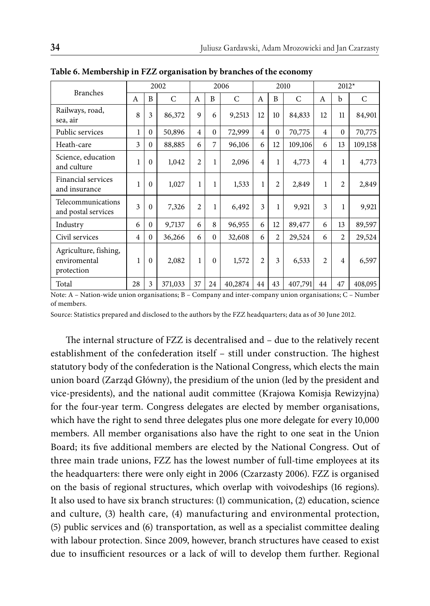| <b>Branches</b>                                     | 2002           |          | 2006          |                | 2010     |         |                | $2012*$        |         |                |                |         |
|-----------------------------------------------------|----------------|----------|---------------|----------------|----------|---------|----------------|----------------|---------|----------------|----------------|---------|
|                                                     | A              | B        | $\mathcal{C}$ | A              | B        | C       | A              | B              | C       | A              | b              | C       |
| Railways, road,<br>sea, air                         | 8              | 3        | 86,372        | 9              | 6        | 9,2513  | 12             | 10             | 84,833  | 12             | 11             | 84,901  |
| Public services                                     | 1              | $\Omega$ | 50,896        | $\overline{4}$ | $\Omega$ | 72,999  | $\overline{4}$ | $\Omega$       | 70,775  | $\overline{4}$ | $\theta$       | 70,775  |
| Heath-care                                          | 3              | $\Omega$ | 88,885        | 6              | 7        | 96,106  | 6              | 12             | 109,106 | 6              | 13             | 109,158 |
| Science, education<br>and culture                   | 1              | $\Omega$ | 1,042         | $\overline{2}$ | 1        | 2,096   | $\overline{4}$ | 1              | 4,773   | $\overline{4}$ | 1              | 4,773   |
| Financial services<br>and insurance                 | 1              | $\Omega$ | 1,027         | 1              | 1        | 1,533   | 1              | $\overline{c}$ | 2,849   | 1              | $\overline{c}$ | 2,849   |
| Telecommunications<br>and postal services           | 3              | $\Omega$ | 7,326         | $\overline{2}$ | 1        | 6,492   | 3              | 1              | 9,921   | 3              | 1              | 9,921   |
| Industry                                            | 6              | $\Omega$ | 9,7137        | 6              | 8        | 96,955  | 6              | 12             | 89,477  | 6              | 13             | 89,597  |
| Civil services                                      | $\overline{4}$ | $\Omega$ | 36,266        | 6              | $\Omega$ | 32,608  | 6              | $\overline{c}$ | 29,524  | 6              | $\overline{2}$ | 29,524  |
| Agriculture, fishing,<br>enviromental<br>protection | 1              | $\Omega$ | 2,082         | 1              | $\Omega$ | 1,572   | $\overline{2}$ | 3              | 6,533   | $\overline{2}$ | $\overline{4}$ | 6,597   |
| Total                                               | 28             | 3        | 371,033       | 37             | 24       | 40,2874 | 44             | 43             | 407,791 | 44             | 47             | 408,095 |

**Table 6. Membership in FZZ organisation by branches of the economy**

Note: A – Nation-wide union organisations; B – Company and inter-company union organisations; C – Number of members.

Source: Statistics prepared and disclosed to the authors by the FZZ headquarters; data as of 30 June 2012.

The internal structure of FZZ is decentralised and - due to the relatively recent establishment of the confederation itself - still under construction. The highest statutory body of the confederation is the National Congress, which elects the main union board (Zarząd Główny), the presidium of the union (led by the president and vice-presidents), and the national audit committee (Krajowa Komisja Rewizyjna) for the four-year term. Congress delegates are elected by member organisations, which have the right to send three delegates plus one more delegate for every 10,000 members. All member organisations also have the right to one seat in the Union Board; its five additional members are elected by the National Congress. Out of three main trade unions, FZZ has the lowest number of full-time employees at its the headquarters: there were only eight in 2006 (Czarzasty 2006). FZZ is organised on the basis of regional structures, which overlap with voivodeships (16 regions). It also used to have six branch structures: (1) communication, (2) education, science and culture, (3) health care, (4) manufacturing and environmental protection, (5) public services and (6) transportation, as well as a specialist committee dealing with labour protection. Since 2009, however, branch structures have ceased to exist due to insufficient resources or a lack of will to develop them further. Regional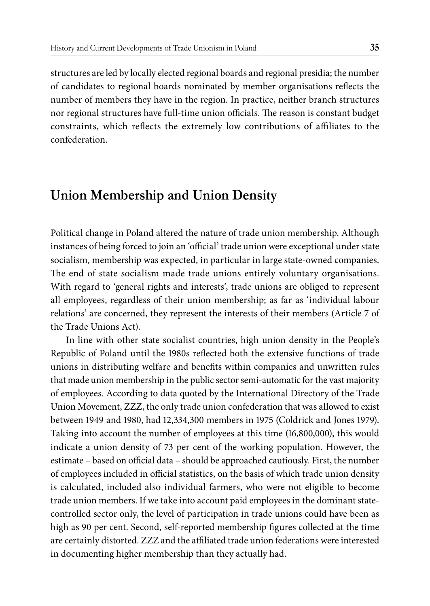structures are led by locally elected regional boards and regional presidia; the number of candidates to regional boards nominated by member organisations reflects the number of members they have in the region. In practice, neither branch structures nor regional structures have full-time union officials. The reason is constant budget constraints, which reflects the extremely low contributions of affiliates to the confederation.

## **Union Membership and Union Density**

Political change in Poland altered the nature of trade union membership. Although instances of being forced to join an 'official' trade union were exceptional under state socialism, membership was expected, in particular in large state-owned companies. The end of state socialism made trade unions entirely voluntary organisations. With regard to 'general rights and interests', trade unions are obliged to represent all employees, regardless of their union membership; as far as 'individual labour relations' are concerned, they represent the interests of their members (Article 7 of the Trade Unions Act).

In line with other state socialist countries, high union density in the People's Republic of Poland until the 1980s reflected both the extensive functions of trade unions in distributing welfare and benefits within companies and unwritten rules that made union membership in the public sector semi-automatic for the vast majority of employees. According to data quoted by the International Directory of the Trade Union Movement, ZZZ, the only trade union confederation that was allowed to exist between 1949 and 1980, had 12,334,300 members in 1975 (Coldrick and Jones 1979). Taking into account the number of employees at this time (16,800,000), this would indicate a union density of 73 per cent of the working population. However, the estimate – based on official data – should be approached cautiously. First, the number of employees included in official statistics, on the basis of which trade union density is calculated, included also individual farmers, who were not eligible to become trade union members. If we take into account paid employees in the dominant statecontrolled sector only, the level of participation in trade unions could have been as high as 90 per cent. Second, self-reported membership figures collected at the time are certainly distorted. ZZZ and the affiliated trade union federations were interested in documenting higher membership than they actually had.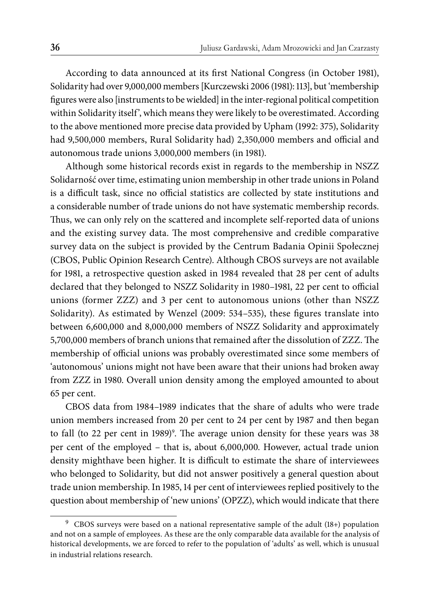According to data announced at its first National Congress (in October 1981), Solidarity had over 9,000,000 members [Kurczewski 2006 (1981): 113], but 'membership figures were also [instruments to be wielded] in the inter-regional political competition within Solidarity itself', which means they were likely to be overestimated. According to the above mentioned more precise data provided by Upham (1992: 375), Solidarity had 9,500,000 members, Rural Solidarity had) 2,350,000 members and official and autonomous trade unions 3,000,000 members (in 1981).

Although some historical records exist in regards to the membership in NSZZ Solidarność over time, estimating union membership in other trade unions in Poland is a difficult task, since no official statistics are collected by state institutions and a considerable number of trade unions do not have systematic membership records. Thus, we can only rely on the scattered and incomplete self-reported data of unions and the existing survey data. The most comprehensive and credible comparative survey data on the subject is provided by the Centrum Badania Opinii Społecznej (CBOS, Public Opinion Research Centre). Although CBOS surveys are not available for 1981, a retrospective question asked in 1984 revealed that 28 per cent of adults declared that they belonged to NSZZ Solidarity in 1980-1981, 22 per cent to official unions (former ZZZ) and 3 per cent to autonomous unions (other than NSZZ Solidarity). As estimated by Wenzel (2009: 534–535), these figures translate into between 6,600,000 and 8,000,000 members of NSZZ Solidarity and approximately 5,700,000 members of branch unions that remained after the dissolution of ZZZ. The membership of official unions was probably overestimated since some members of 'autonomous' unions might not have been aware that their unions had broken away from ZZZ in 1980. Overall union density among the employed amounted to about 65 per cent.

CBOS data from 1984–1989 indicates that the share of adults who were trade union members increased from 20 per cent to 24 per cent by 1987 and then began to fall (to 22 per cent in 1989)<sup>9</sup>. The average union density for these years was 38 per cent of the employed – that is, about 6,000,000. However, actual trade union density mighthave been higher. It is difficult to estimate the share of interviewees who belonged to Solidarity, but did not answer positively a general question about trade union membership. In 1985, 14 per cent of interviewees replied positively to the question about membership of 'new unions' (OPZZ), which would indicate that there

<sup>9</sup> CBOS surveys were based on a national representative sample of the adult (18+) population and not on a sample of employees. As these are the only comparable data available for the analysis of historical developments, we are forced to refer to the population of 'adults' as well, which is unusual in industrial relations research.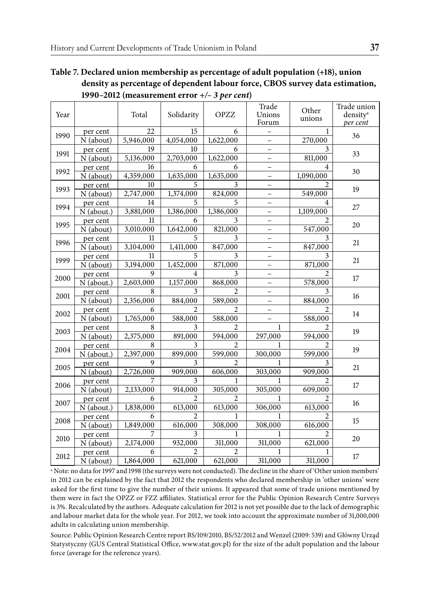#### **Table 7. Declared union membership as percentage of adult population (+18), union density as percentage of dependent labour force, CBOS survey data estimation, 1990–2012 (measurement error** *+/– 3 per cent***)**

| Year |                                     | Total                       | Solidarity                           | <b>OPZZ</b>                          | Trade<br>Unions<br>Forum                      | Other<br>unions                        | Trade union<br>density <sup>a</sup><br>per cent |
|------|-------------------------------------|-----------------------------|--------------------------------------|--------------------------------------|-----------------------------------------------|----------------------------------------|-------------------------------------------------|
| 1990 | per cent<br>N (about)               | 22<br>5,946,000             | 15<br>4,054,000                      | 6<br>1,622,000                       | $\qquad \qquad -$                             | 1<br>270,000                           | 36                                              |
| 1991 | per cent<br>N (about)               | 19<br>5,136,000             | 10<br>2,703,000                      | 6<br>1,622,000                       | $\overline{\phantom{0}}$                      | 3<br>811,000                           | 33                                              |
| 1992 | per cent<br>N (about)               | 16<br>4,359,000             | 6<br>1,635,000                       | 6<br>1,635,000                       | $\overline{a}$<br>$\overline{\phantom{0}}$    | 4<br>1,090,000                         | 30                                              |
| 1993 | per cent<br>$\overline{N}$ (about)  | 10<br>2,747,000             | 5<br>1,374,000                       | 3<br>824,000                         | -                                             | 2<br>549,000                           | 19                                              |
| 1994 | per cent<br>N (about.)              | 14<br>3,881,000             | 5<br>1,386,000                       | 5<br>1,386,000                       | $\overline{\phantom{0}}$                      | 4<br>1,109,000                         | 27                                              |
| 1995 | per cent<br>N (about)               | 11<br>3,010,000             | 6<br>1,642,000                       | 3<br>821,000                         | $\qquad \qquad -$<br>$\qquad \qquad -$        | 547,000                                | 20                                              |
| 1996 | per cent<br>$\overline{N}$ (about)  | 11<br>3,104,000             | 5<br>1,411,000                       | 3<br>847,000                         | $\equiv$<br>$\overline{\phantom{0}}$          | 3<br>847,000                           | 21                                              |
| 1999 | per cent<br>N (about)               | 11<br>3,194,000             | 5<br>1,452,000                       | 3<br>871,000                         | L.                                            | 3<br>871,000                           | 21                                              |
| 2000 | per cent<br>N (about.)              | 9<br>2,603,000              | 4<br>1,157,000                       | 3<br>868,000                         | $\qquad \qquad -$<br>$\qquad \qquad -$        | 2<br>578,000                           | 17                                              |
| 2001 | per cent<br>N (about)               | 8<br>2,356,000              | 3<br>884,000                         | $\mathfrak{D}$<br>589,000            | $\overline{\phantom{0}}$<br>$\qquad \qquad -$ | 3<br>884,000                           | 16                                              |
| 2002 | per cent<br>N (about)               | 6<br>1,765,000              | 2<br>588,000                         | $\mathfrak{D}$<br>588,000            | L,                                            | $\mathcal{D}_{\mathcal{A}}$<br>588,000 | 14                                              |
| 2003 | per cent<br>N (about)               | 8<br>2,375,000              | 3<br>891,000                         | 2<br>594,000                         | 1<br>297,000                                  | 2<br>594,000                           | 19                                              |
| 2004 | per cent<br>N (about.)              | 8<br>2,397,000              | 3<br>899,000                         | $\overline{c}$<br>599,000            | 1<br>300,000                                  | 2<br>599,000                           | 19                                              |
| 2005 | per cent<br>N (about)               | 9<br>2,726,000              | 3<br>909,000                         | $\mathfrak{D}$<br>606,000            | 1<br>303,000                                  | 3<br>909,000                           | 21                                              |
| 2006 | per cent                            | 7<br>2,133,000              | 3<br>914,000                         | 1<br>305,000                         | 1<br>305,000                                  | 2<br>609,000                           | 17                                              |
| 2007 | N (about)<br>per cent<br>N (about.) | 6<br>1,838,000              | $\mathfrak{D}$<br>613,000            | $\mathfrak{D}$<br>613,000            | 1<br>306,000                                  | $\mathfrak{D}$<br>613,000              | 16                                              |
| 2008 | per cent                            | 6                           | $\mathfrak{D}$                       | 1<br>308,000                         | 1<br>308,000                                  | $\mathfrak{D}$                         | 15                                              |
| 2010 | N (about)<br>per cent               | 1,849,000<br>7              | 616,000<br>$\overline{3}$            | 1                                    | 1                                             | 616,000<br>2                           | 20                                              |
| 2012 | N (about)<br>per cent<br>N (about)  | 2,174,000<br>6<br>1,864,000 | 932,000<br>$\overline{2}$<br>621,000 | 311,000<br>$\overline{2}$<br>621,000 | 311,000<br>1<br>311,000                       | 621,000<br>1<br>311,000                | 17                                              |

<sup>a</sup> Note: no data for 1997 and 1998 (the surveys were not conducted). The decline in the share of 'Other union members' in 2012 can be explained by the fact that 2012 the respondents who declared membership in 'other unions' were asked for the first time to give the number of their unions. It appeared that some of trade unions mentioned by them were in fact the OPZZ or FZZ affiliates. Statistical error for the Public Opinion Research Centre Surveys is 3%. Recalculated by the authors. Adequate calculation for 2012 is not yet possible due to the lack of demographic and labour market data for the whole year. For 2012, we took into account the approximate number of 31,000,000 adults in calculating union membership.

Source: Public Opinion Research Centre report BS/109/2010, BS/52/2012 and Wenzel (2009: 539) and Główny Urząd Statystyczny (GUS Central Statistical Office, www.stat.gov.pl) for the size of the adult population and the labour force (average for the reference years).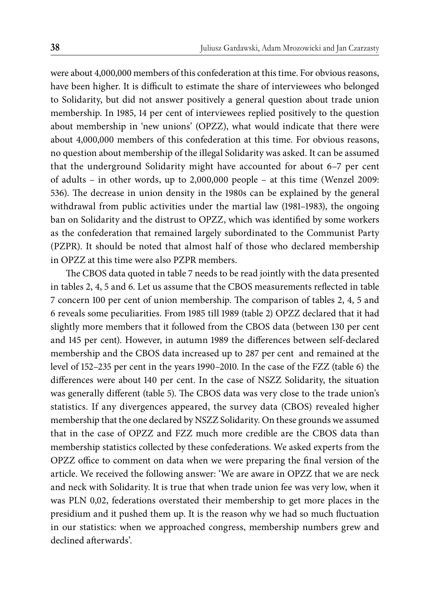were about 4,000,000 members of this confederation at this time. For obvious reasons, have been higher. It is difficult to estimate the share of interviewees who belonged to Solidarity, but did not answer positively a general question about trade union membership. In 1985, 14 per cent of interviewees replied positively to the question about membership in 'new unions' (OPZZ), what would indicate that there were about 4,000,000 members of this confederation at this time. For obvious reasons, no question about membership of the illegal Solidarity was asked. It can be assumed that the underground Solidarity might have accounted for about 6–7 per cent of adults – in other words, up to 2,000,000 people – at this time (Wenzel 2009: 536). The decrease in union density in the 1980s can be explained by the general withdrawal from public activities under the martial law (1981–1983), the ongoing ban on Solidarity and the distrust to OPZZ, which was identified by some workers as the confederation that remained largely subordinated to the Communist Party (PZPR). It should be noted that almost half of those who declared membership in OPZZ at this time were also PZPR members.

The CBOS data quoted in table 7 needs to be read jointly with the data presented in tables  $2, 4, 5$  and 6. Let us assume that the CBOS measurements reflected in table 7 concern 100 per cent of union membership. The comparison of tables 2, 4, 5 and 6 reveals some peculiarities. From 1985 till 1989 (table 2) OPZZ declared that it had slightly more members that it followed from the CBOS data (between 130 per cent and 145 per cent). However, in autumn 1989 the differences between self-declared membership and the CBOS data increased up to 287 per cent and remained at the level of 152–235 per cent in the years 1990–2010. In the case of the FZZ (table 6) the differences were about 140 per cent. In the case of NSZZ Solidarity, the situation was generally different (table 5). The CBOS data was very close to the trade union's statistics. If any divergences appeared, the survey data (CBOS) revealed higher membership that the one declared by NSZZ Solidarity. On these grounds we assumed that in the case of OPZZ and FZZ much more credible are the CBOS data than membership statistics collected by these confederations. We asked experts from the OPZZ office to comment on data when we were preparing the final version of the article. We received the following answer: 'We are aware in OPZZ that we are neck and neck with Solidarity. It is true that when trade union fee was very low, when it was PLN 0,02, federations overstated their membership to get more places in the presidium and it pushed them up. It is the reason why we had so much fluctuation in our statistics: when we approached congress, membership numbers grew and declined afterwards'.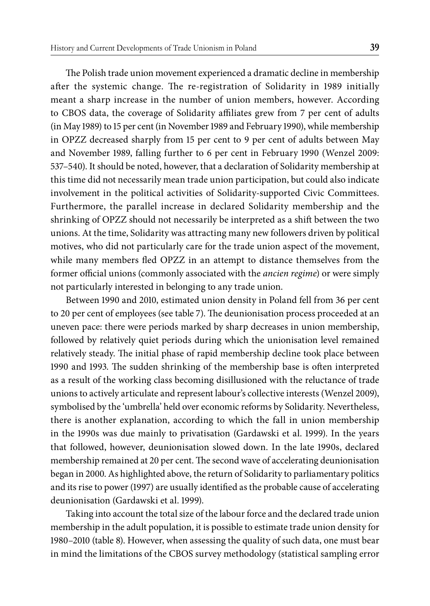The Polish trade union movement experienced a dramatic decline in membership after the systemic change. The re-registration of Solidarity in 1989 initially meant a sharp increase in the number of union members, however. According to CBOS data, the coverage of Solidarity affiliates grew from 7 per cent of adults (in May 1989) to 15 per cent (in November 1989 and February 1990), while membership in OPZZ decreased sharply from 15 per cent to 9 per cent of adults between May and November 1989, falling further to 6 per cent in February 1990 (Wenzel 2009: 537–540). It should be noted, however, that a declaration of Solidarity membership at this time did not necessarily mean trade union participation, but could also indicate involvement in the political activities of Solidarity-supported Civic Committees. Furthermore, the parallel increase in declared Solidarity membership and the shrinking of OPZZ should not necessarily be interpreted as a shift between the two unions. At the time, Solidarity was attracting many new followers driven by political motives, who did not particularly care for the trade union aspect of the movement, while many members fled OPZZ in an attempt to distance themselves from the former official unions (commonly associated with the *ancien regime*) or were simply not particularly interested in belonging to any trade union.

Between 1990 and 2010, estimated union density in Poland fell from 36 per cent to 20 per cent of employees (see table 7). The deunionisation process proceeded at an uneven pace: there were periods marked by sharp decreases in union membership, followed by relatively quiet periods during which the unionisation level remained relatively steady. The initial phase of rapid membership decline took place between 1990 and 1993. The sudden shrinking of the membership base is often interpreted as a result of the working class becoming disillusioned with the reluctance of trade unions to actively articulate and represent labour's collective interests (Wenzel 2009), symbolised by the 'umbrella' held over economic reforms by Solidarity. Nevertheless, there is another explanation, according to which the fall in union membership in the 1990s was due mainly to privatisation (Gardawski et al. 1999). In the years that followed, however, deunionisation slowed down. In the late 1990s, declared membership remained at 20 per cent. The second wave of accelerating deunionisation began in 2000. As highlighted above, the return of Solidarity to parliamentary politics and its rise to power (1997) are usually identified as the probable cause of accelerating deunionisation (Gardawski et al. 1999).

Taking into account the total size of the labour force and the declared trade union membership in the adult population, it is possible to estimate trade union density for 1980–2010 (table 8). However, when assessing the quality of such data, one must bear in mind the limitations of the CBOS survey methodology (statistical sampling error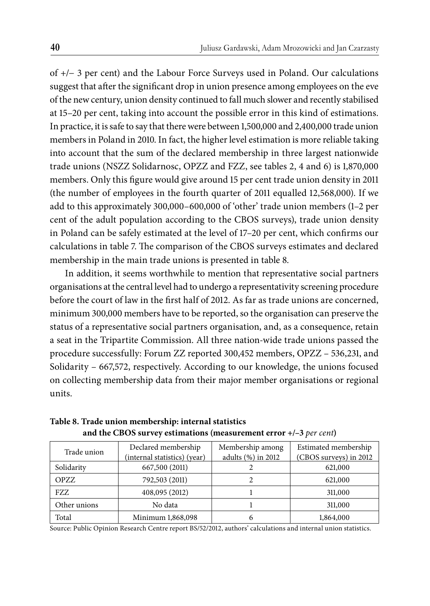of +/− 3 per cent) and the Labour Force Surveys used in Poland. Our calculations suggest that after the significant drop in union presence among employees on the eve of the new century, union density continued to fall much slower and recently stabilised at 15–20 per cent, taking into account the possible error in this kind of estimations. In practice, it is safe to say that there were between 1,500,000 and 2,400,000 trade union members in Poland in 2010. In fact, the higher level estimation is more reliable taking into account that the sum of the declared membership in three largest nationwide trade unions (NSZZ Solidarnosc, OPZZ and FZZ, see tables 2, 4 and 6) is 1,870,000 members. Only this figure would give around 15 per cent trade union density in 2011 (the number of employees in the fourth quarter of 2011 equalled 12,568,000). If we add to this approximately 300,000–600,000 of 'other' trade union members (1–2 per cent of the adult population according to the CBOS surveys), trade union density in Poland can be safely estimated at the level of 17-20 per cent, which confirms our calculations in table 7. The comparison of the CBOS surveys estimates and declared membership in the main trade unions is presented in table 8.

In addition, it seems worthwhile to mention that representative social partners organisations at the central level had to undergo a representativity screening procedure before the court of law in the first half of 2012. As far as trade unions are concerned, minimum 300,000 members have to be reported, so the organisation can preserve the status of a representative social partners organisation, and, as a consequence, retain a seat in the Tripartite Commission. All three nation-wide trade unions passed the procedure successfully: Forum ZZ reported 300,452 members, OPZZ – 536,231, and Solidarity – 667,572, respectively. According to our knowledge, the unions focused on collecting membership data from their major member organisations or regional units.

| Trade union  | Declared membership<br>(internal statistics) (year) | Membership among<br>adults (%) in 2012 | Estimated membership<br>(CBOS surveys) in 2012 |
|--------------|-----------------------------------------------------|----------------------------------------|------------------------------------------------|
| Solidarity   | 667,500 (2011)                                      |                                        | 621,000                                        |
| OPZZ         | 792,503 (2011)                                      |                                        | 621,000                                        |
| FZZ.         | 408,095 (2012)                                      |                                        | 311,000                                        |
| Other unions | No data                                             |                                        | 311,000                                        |
| Total        | Minimum 1,868,098                                   |                                        | 1,864,000                                      |

**Table 8. Trade union membership: internal statistics and the CBOS survey estimations (measurement error +/–3** *per cent***)**

Source: Public Opinion Research Centre report BS/52/2012, authors' calculations and internal union statistics.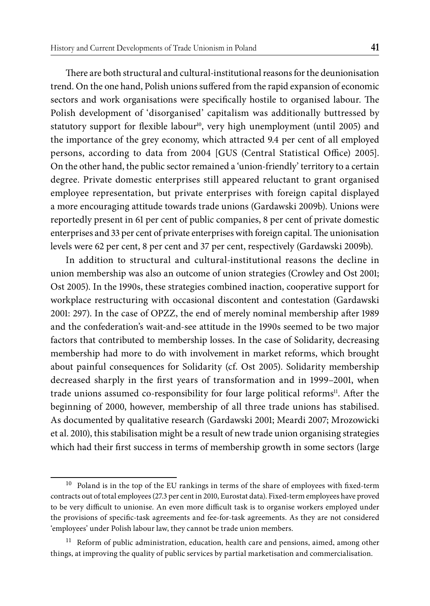There are both structural and cultural-institutional reasons for the deunionisation trend. On the one hand, Polish unions suffered from the rapid expansion of economic sectors and work organisations were specifically hostile to organised labour. The Polish development of 'disorganised' capitalism was additionally buttressed by statutory support for flexible labour<sup>10</sup>, very high unemployment (until 2005) and the importance of the grey economy, which attracted 9.4 per cent of all employed persons, according to data from 2004 [GUS (Central Statistical Office) 2005]. On the other hand, the public sector remained a 'union-friendly' territory to a certain degree. Private domestic enterprises still appeared reluctant to grant organised employee representation, but private enterprises with foreign capital displayed a more encouraging attitude towards trade unions (Gardawski 2009b). Unions were reportedly present in 61 per cent of public companies, 8 per cent of private domestic enterprises and 33 per cent of private enterprises with foreign capital. The unionisation levels were 62 per cent, 8 per cent and 37 per cent, respectively (Gardawski 2009b).

In addition to structural and cultural-institutional reasons the decline in union membership was also an outcome of union strategies (Crowley and Ost 2001; Ost 2005). In the 1990s, these strategies combined inaction, cooperative support for workplace restructuring with occasional discontent and contestation (Gardawski 2001: 297). In the case of OPZZ, the end of merely nominal membership after 1989 and the confederation's wait-and-see attitude in the 1990s seemed to be two major factors that contributed to membership losses. In the case of Solidarity, decreasing membership had more to do with involvement in market reforms, which brought about painful consequences for Solidarity (cf. Ost 2005). Solidarity membership decreased sharply in the first years of transformation and in 1999–2001, when trade unions assumed co-responsibility for four large political reforms<sup>11</sup>. After the beginning of 2000, however, membership of all three trade unions has stabilised. As documented by qualitative research (Gardawski 2001; Meardi 2007; Mrozowicki et al. 2010), this stabilisation might be a result of new trade union organising strategies which had their first success in terms of membership growth in some sectors (large

 $10$  Poland is in the top of the EU rankings in terms of the share of employees with fixed-term contracts out of total employees (27.3 per cent in 2010, Eurostat data). Fixed-term employees have proved to be very difficult to unionise. An even more difficult task is to organise workers employed under the provisions of specific-task agreements and fee-for-task agreements. As they are not considered 'employees' under Polish labour law, they cannot be trade union members.

 $11$  Reform of public administration, education, health care and pensions, aimed, among other things, at improving the quality of public services by partial marketisation and commercialisation.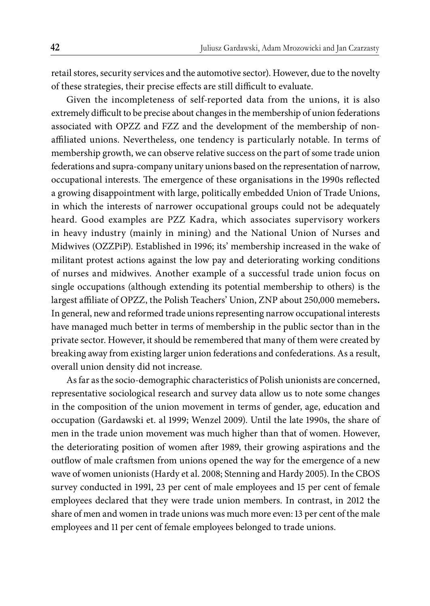retail stores, security services and the automotive sector). However, due to the novelty of these strategies, their precise effects are still difficult to evaluate.

Given the incompleteness of self-reported data from the unions, it is also extremely difficult to be precise about changes in the membership of union federations associated with OPZZ and FZZ and the development of the membership of nonaffiliated unions. Nevertheless, one tendency is particularly notable. In terms of membership growth, we can observe relative success on the part of some trade union federations and supra-company unitary unions based on the representation of narrow, occupational interests. The emergence of these organisations in the 1990s reflected a growing disappointment with large, politically embedded Union of Trade Unions, in which the interests of narrower occupational groups could not be adequately heard. Good examples are PZZ Kadra, which associates supervisory workers in heavy industry (mainly in mining) and the National Union of Nurses and Midwives (OZZPiP). Established in 1996; its' membership increased in the wake of militant protest actions against the low pay and deteriorating working conditions of nurses and midwives. Another example of a successful trade union focus on single occupations (although extending its potential membership to others) is the largest affiliate of OPZZ, the Polish Teachers' Union, ZNP about 250,000 memebers. In general, new and reformed trade unions representing narrow occupational interests have managed much better in terms of membership in the public sector than in the private sector. However, it should be remembered that many of them were created by breaking away from existing larger union federations and confederations. As a result, overall union density did not increase.

As far as the socio-demographic characteristics of Polish unionists are concerned, representative sociological research and survey data allow us to note some changes in the composition of the union movement in terms of gender, age, education and occupation (Gardawski et. al 1999; Wenzel 2009). Until the late 1990s, the share of men in the trade union movement was much higher than that of women. However, the deteriorating position of women after 1989, their growing aspirations and the outflow of male craft smen from unions opened the way for the emergence of a new wave of women unionists (Hardy et al. 2008; Stenning and Hardy 2005). In the CBOS survey conducted in 1991, 23 per cent of male employees and 15 per cent of female employees declared that they were trade union members. In contrast, in 2012 the share of men and women in trade unions was much more even: 13 per cent of the male employees and 11 per cent of female employees belonged to trade unions.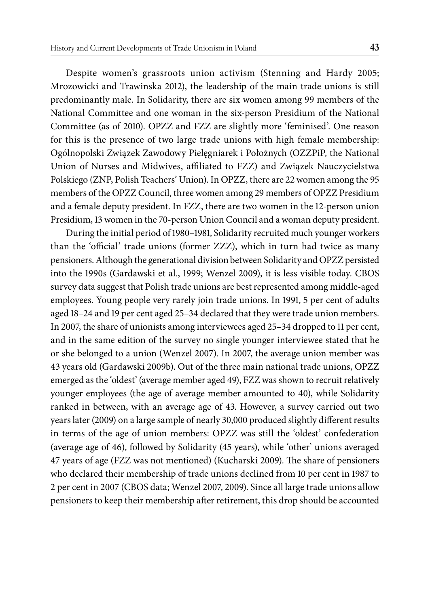Despite women's grassroots union activism (Stenning and Hardy 2005; Mrozowicki and Trawinska 2012), the leadership of the main trade unions is still predominantly male. In Solidarity, there are six women among 99 members of the National Committee and one woman in the six-person Presidium of the National Committee (as of 2010). OPZZ and FZZ are slightly more 'feminised'. One reason for this is the presence of two large trade unions with high female membership: Ogólnopolski Związek Zawodowy Pielęgniarek i Położnych (OZZPiP, the National Union of Nurses and Midwives, affiliated to FZZ) and Związek Nauczycielstwa Polskiego (ZNP, Polish Teachers' Union). In OPZZ, there are 22 women among the 95 members of the OPZZ Council, three women among 29 members of OPZZ Presidium and a female deputy president. In FZZ, there are two women in the 12-person union Presidium, 13 women in the 70-person Union Council and a woman deputy president.

During the initial period of 1980–1981, Solidarity recruited much younger workers than the 'official' trade unions (former ZZZ), which in turn had twice as many pensioners. Although the generational division between Solidarity and OPZZ persisted into the 1990s (Gardawski et al., 1999; Wenzel 2009), it is less visible today. CBOS survey data suggest that Polish trade unions are best represented among middle-aged employees. Young people very rarely join trade unions. In 1991, 5 per cent of adults aged 18–24 and 19 per cent aged 25–34 declared that they were trade union members. In 2007, the share of unionists among interviewees aged 25–34 dropped to 11 per cent, and in the same edition of the survey no single younger interviewee stated that he or she belonged to a union (Wenzel 2007). In 2007, the average union member was 43 years old (Gardawski 2009b). Out of the three main national trade unions, OPZZ emerged as the 'oldest' (average member aged 49), FZZ was shown to recruit relatively younger employees (the age of average member amounted to 40), while Solidarity ranked in between, with an average age of 43. However, a survey carried out two years later (2009) on a large sample of nearly 30,000 produced slightly different results in terms of the age of union members: OPZZ was still the 'oldest' confederation (average age of 46), followed by Solidarity (45 years), while 'other' unions averaged 47 years of age (FZZ was not mentioned) (Kucharski 2009). The share of pensioners who declared their membership of trade unions declined from 10 per cent in 1987 to 2 per cent in 2007 (CBOS data; Wenzel 2007, 2009). Since all large trade unions allow pensioners to keep their membership after retirement, this drop should be accounted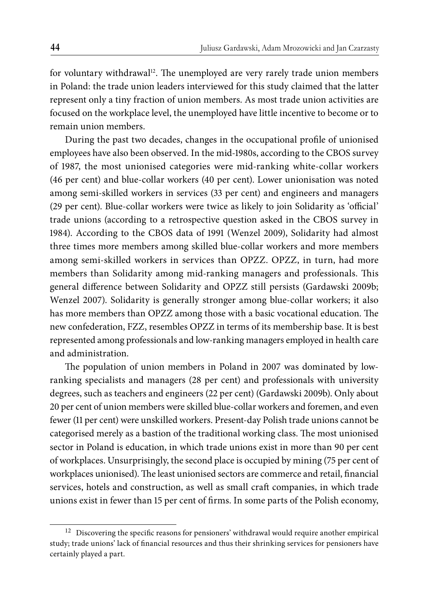for voluntary withdrawal<sup>12</sup>. The unemployed are very rarely trade union members in Poland: the trade union leaders interviewed for this study claimed that the latter represent only a tiny fraction of union members. As most trade union activities are focused on the workplace level, the unemployed have little incentive to become or to remain union members.

During the past two decades, changes in the occupational profile of unionised employees have also been observed. In the mid-1980s, according to the CBOS survey of 1987, the most unionised categories were mid-ranking white-collar workers (46 per cent) and blue-collar workers (40 per cent). Lower unionisation was noted among semi-skilled workers in services (33 per cent) and engineers and managers (29 per cent). Blue-collar workers were twice as likely to join Solidarity as 'official' trade unions (according to a retrospective question asked in the CBOS survey in 1984). According to the CBOS data of 1991 (Wenzel 2009), Solidarity had almost three times more members among skilled blue-collar workers and more members among semi-skilled workers in services than OPZZ. OPZZ, in turn, had more members than Solidarity among mid-ranking managers and professionals. This general difference between Solidarity and OPZZ still persists (Gardawski 2009b; Wenzel 2007). Solidarity is generally stronger among blue-collar workers; it also has more members than OPZZ among those with a basic vocational education. The new confederation, FZZ, resembles OPZZ in terms of its membership base. It is best represented among professionals and low-ranking managers employed in health care and administration.

The population of union members in Poland in 2007 was dominated by lowranking specialists and managers (28 per cent) and professionals with university degrees, such as teachers and engineers (22 per cent) (Gardawski 2009b). Only about 20 per cent of union members were skilled blue-collar workers and foremen, and even fewer (11 per cent) were unskilled workers. Present-day Polish trade unions cannot be categorised merely as a bastion of the traditional working class. The most unionised sector in Poland is education, in which trade unions exist in more than 90 per cent of workplaces. Unsurprisingly, the second place is occupied by mining (75 per cent of workplaces unionised). The least unionised sectors are commerce and retail, financial services, hotels and construction, as well as small craft companies, in which trade unions exist in fewer than 15 per cent of firms. In some parts of the Polish economy,

 $^{12}\,$  Discovering the specific reasons for pensioners' withdrawal would require another empirical study; trade unions' lack of financial resources and thus their shrinking services for pensioners have certainly played a part.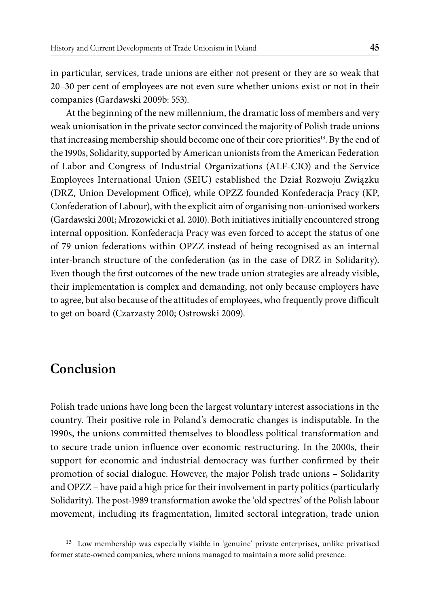in particular, services, trade unions are either not present or they are so weak that 20–30 per cent of employees are not even sure whether unions exist or not in their companies (Gardawski 2009b: 553).

At the beginning of the new millennium, the dramatic loss of members and very weak unionisation in the private sector convinced the majority of Polish trade unions that increasing membership should become one of their core priorities13. By the end of the 1990s, Solidarity, supported by American unionists from the American Federation of Labor and Congress of Industrial Organizations (ALF-CIO) and the Service Employees International Union (SEIU) established the Dział Rozwoju Związku (DRZ, Union Development Office), while OPZZ founded Konfederacja Pracy (KP, Confederation of Labour), with the explicit aim of organising non-unionised workers (Gardawski 2001; Mrozowicki et al. 2010). Both initiatives initially encountered strong internal opposition. Konfederacja Pracy was even forced to accept the status of one of 79 union federations within OPZZ instead of being recognised as an internal inter-branch structure of the confederation (as in the case of DRZ in Solidarity). Even though the first outcomes of the new trade union strategies are already visible, their implementation is complex and demanding, not only because employers have to agree, but also because of the attitudes of employees, who frequently prove difficult to get on board (Czarzasty 2010; Ostrowski 2009).

# **Conclusion**

Polish trade unions have long been the largest voluntary interest associations in the country. Their positive role in Poland's democratic changes is indisputable. In the 1990s, the unions committed themselves to bloodless political transformation and to secure trade union influence over economic restructuring. In the 2000s, their support for economic and industrial democracy was further confirmed by their promotion of social dialogue. However, the major Polish trade unions – Solidarity and OPZZ – have paid a high price for their involvement in party politics (particularly Solidarity). The post-1989 transformation awoke the 'old spectres' of the Polish labour movement, including its fragmentation, limited sectoral integration, trade union

<sup>&</sup>lt;sup>13</sup> Low membership was especially visible in 'genuine' private enterprises, unlike privatised former state-owned companies, where unions managed to maintain a more solid presence.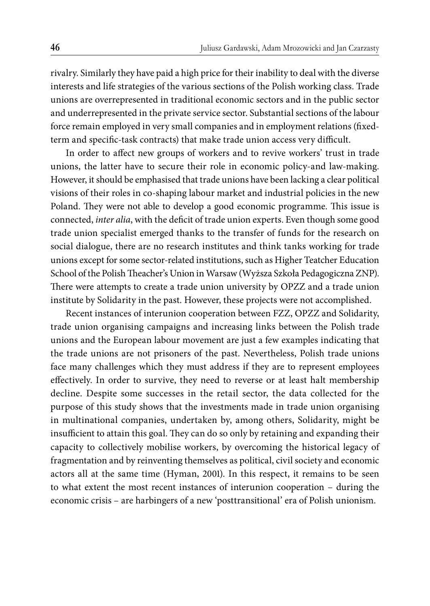rivalry. Similarly they have paid a high price for their inability to deal with the diverse interests and life strategies of the various sections of the Polish working class. Trade unions are overrepresented in traditional economic sectors and in the public sector and underrepresented in the private service sector. Substantial sections of the labour force remain employed in very small companies and in employment relations (fixedterm and specific-task contracts) that make trade union access very difficult.

In order to affect new groups of workers and to revive workers' trust in trade unions, the latter have to secure their role in economic policy-and law-making. However, it should be emphasised that trade unions have been lacking a clear political visions of their roles in co-shaping labour market and industrial policies in the new Poland. They were not able to develop a good economic programme. This issue is connected, *inter alia*, with the deficit of trade union experts. Even though some good trade union specialist emerged thanks to the transfer of funds for the research on social dialogue, there are no research institutes and think tanks working for trade unions except for some sector-related institutions, such as Higher Teatcher Education School of the Polish Theacher's Union in Warsaw (Wyższa Szkoła Pedagogiczna ZNP). There were attempts to create a trade union university by OPZZ and a trade union institute by Solidarity in the past. However, these projects were not accomplished.

Recent instances of interunion cooperation between FZZ, OPZZ and Solidarity, trade union organising campaigns and increasing links between the Polish trade unions and the European labour movement are just a few examples indicating that the trade unions are not prisoners of the past. Nevertheless, Polish trade unions face many challenges which they must address if they are to represent employees effectively. In order to survive, they need to reverse or at least halt membership decline. Despite some successes in the retail sector, the data collected for the purpose of this study shows that the investments made in trade union organising in multinational companies, undertaken by, among others, Solidarity, might be insufficient to attain this goal. They can do so only by retaining and expanding their capacity to collectively mobilise workers, by overcoming the historical legacy of fragmentation and by reinventing themselves as political, civil society and economic actors all at the same time (Hyman, 2001). In this respect, it remains to be seen to what extent the most recent instances of interunion cooperation – during the economic crisis – are harbingers of a new 'posttransitional' era of Polish unionism.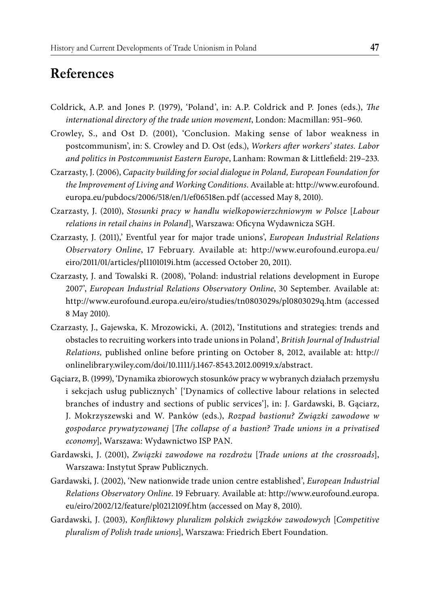# **References**

- Coldrick, A.P. and Jones P. (1979), 'Poland', in: A.P. Coldrick and P. Jones (eds.), *The international directory of the trade union movement*, London: Macmillan: 951–960.
- Crowley, S., and Ost D. (2001), 'Conclusion. Making sense of labor weakness in postcommunism', in: S. Crowley and D. Ost (eds.), *Workers after workers' states. Labor* and politics in Postcommunist Eastern Europe, Lanham: Rowman & Littlefield: 219–233.
- Czarzasty, J. (2006), *Capacity building for social dialogue in Poland, European Foundation for the Improvement of Living and Working Conditions*. Available at: http://www.eurofound. europa.eu/pubdocs/2006/518/en/1/ef06518en.pdf (accessed May 8, 2010).
- Czarzasty, J. (2010), *Stosunki pracy w handlu wielkopowierzchniowym w Polsce* [*Labour*  relations in retail chains in Poland], Warszawa: Oficyna Wydawnicza SGH.
- Czarzasty, J. (2011),' Eventful year for major trade unions', *European Industrial Relations Observatory Online*, 17 February. Available at: http://www.eurofound.europa.eu/ eiro/2011/01/articles/pl1101019i.htm (accessed October 20, 2011).
- Czarzasty, J. and Towalski R. (2008), 'Poland: industrial relations development in Europe 2007', *European Industrial Relations Observatory Online*, 30 September. Available at: http://www.eurofound.europa.eu/eiro/studies/tn0803029s/pl0803029q.htm (accessed 8 May 2010).
- Czarzasty, J., Gajewska, K. Mrozowicki, A. (2012), 'Institutions and strategies: trends and obstacles to recruiting workers into trade unions in Poland', *British Journal of Industrial Relations,* published online before printing on October 8, 2012, available at: http:// onlinelibrary.wiley.com/doi/10.1111/j.1467-8543.2012.00919.x/abstract.
- Gąciarz, B. (1999), 'Dynamika zbiorowych stosunków pracy w wybranych działach przemysłu i sekcjach usług publicznych' ['Dynamics of collective labour relations in selected branches of industry and sections of public services'], in: J. Gardawski, B. Gąciarz, J. Mokrzyszewski and W. Panków (eds.), *Rozpad bastionu? Związki zawodowe w gospodarce prywatyzowanej* [*The collapse of a bastion? Trade unions in a privatised economy*], Warszawa: Wydawnictwo ISP PAN.
- Gardawski, J. (2001), *Związki zawodowe na rozdrożu* [*Trade unions at the crossroads*], Warszawa: Instytut Spraw Publicznych.
- Gardawski, J. (2002), 'New nationwide trade union centre established', *European Industrial Relations Observatory Online*. 19 February. Available at: http://www.eurofound.europa. eu/eiro/2002/12/feature/pl0212109f.htm (accessed on May 8, 2010).
- Gardawski, J. (2003), *Konfl iktowy pluralizm polskich związków zawodowych* [*Competitive pluralism of Polish trade unions*], Warszawa: Friedrich Ebert Foundation.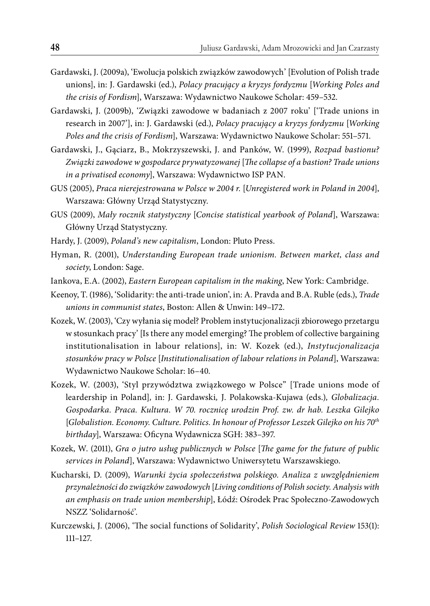- Gardawski, J. (2009a), 'Ewolucja polskich związków zawodowych' [Evolution of Polish trade unions], in: J. Gardawski (ed.), *Polacy pracujący a kryzys fordyzmu* [*Working Poles and the crisis of Fordism*], Warszawa: Wydawnictwo Naukowe Scholar: 459–532.
- Gardawski, J. (2009b), 'Związki zawodowe w badaniach z 2007 roku' ['Trade unions in research in 2007'], in: J. Gardawski (ed.), *Polacy pracujący a kryzys fordyzmu* [*Working Poles and the crisis of Fordism*], Warszawa: Wydawnictwo Naukowe Scholar: 551–571.
- Gardawski, J., Gąciarz, B., Mokrzyszewski, J. and Panków, W. (1999), *Rozpad bastionu?*  Związki zawodowe w gospodarce prywatyzowanej [The collapse of a bastion? Trade unions *in a privatised economy*], Warszawa: Wydawnictwo ISP PAN.
- GUS (2005), *Praca nierejestrowana w Polsce w 2004 r.* [*Unregistered work in Poland in 2004*], Warszawa: Główny Urząd Statystyczny.
- GUS (2009), *Mały rocznik statystyczny* [*Concise statistical yearbook of Poland*], Warszawa: Główny Urząd Statystyczny.
- Hardy, J. (2009), *Poland's new capitalism*, London: Pluto Press.
- Hyman, R. (2001), *Understanding European trade unionism. Between market, class and society*, London: Sage.
- Iankova, E.A. (2002), *Eastern European capitalism in the making*, New York: Cambridge.
- Keenoy, T. (1986), 'Solidarity: the anti-trade union', in: A. Pravda and B.A. Ruble (eds.), *Trade unions in communist states*, Boston: Allen & Unwin: 149–172.
- Kozek, W. (2003), 'Czy wyłania się model? Problem instytucjonalizacji zbiorowego przetargu w stosunkach pracy' [Is there any model emerging? The problem of collective bargaining institutionalisation in labour relations], in: W. Kozek (ed.), *Instytucjonalizacja stosunków pracy w Polsce* [*Institutionalisation of labour relations in Poland*], Warszawa: Wydawnictwo Naukowe Scholar: 16–40.
- Kozek, W. (2003), 'Styl przywództwa związkowego w Polsce" [Trade unions mode of leardership in Poland]*,* in: J. Gardawski*,* J. Polakowska-Kujawa (eds.)*, Globalizacja. Gospodarka. Praca. Kultura. W 70. rocznicę urodzin Prof. zw. dr hab. Leszka Gilejko* [*Globalistion. Economy. Culture. Politics. In honour of Professor Leszek Gilejko on his 70th* birthday], Warszawa: Oficyna Wydawnicza SGH: 383-397.
- Kozek, W. (2011), *Gra o jutro usług publicznych w Polsce* [*The game for the future of public services in Poland*], Warszawa: Wydawnictwo Uniwersytetu Warszawskiego.
- Kucharski, D. (2009), *Warunki życia społeczeństwa polskiego. Analiza z uwzględnieniem przynależności do związków zawodowych* [*Living conditions of Polish society. Analysis with an emphasis on trade union membership*], Łódź: Ośrodek Prac Społeczno-Zawodowych NSZZ 'Solidarność'.
- Kurczewski, J. (2006), 'The social functions of Solidarity', *Polish Sociological Review* 153(1): 111–127.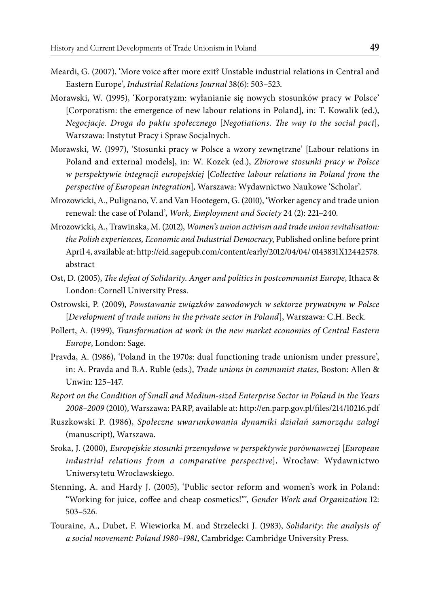- Meardi, G. (2007), 'More voice after more exit? Unstable industrial relations in Central and Eastern Europe', *Industrial Relations Journal* 38(6): 503–523.
- Morawski, W. (1995), 'Korporatyzm: wyłanianie się nowych stosunków pracy w Polsce' [Corporatism: the emergence of new labour relations in Poland], in: T. Kowalik (ed.), *Negocjacje. Droga do paktu społecznego* [*Negotiations. The way to the social pact*], Warszawa: Instytut Pracy i Spraw Socjalnych.
- Morawski, W. (1997), 'Stosunki pracy w Polsce a wzory zewnętrzne' [Labour relations in Poland and external models], in: W. Kozek (ed.), *Zbiorowe stosunki pracy w Polsce w perspektywie integracji europejskiej* [*Collective labour relations in Poland from the perspective of European integration*], Warszawa: Wydawnictwo Naukowe 'Scholar'.
- Mrozowicki, A., Pulignano, V. and Van Hootegem, G. (2010), 'Worker agency and trade union renewal: the case of Poland', *Work, Employment and Society* 24 (2): 221–240.
- Mrozowicki, A., Trawinska, M. (2012), *Women's union activism and trade union revitalisation: the Polish experiences, Economic and Industrial Democracy*, Published online before print April 4, available at: http://eid.sagepub.com/content/early/2012/04/04/ 0143831X12442578. abstract
- Ost, D. (2005), *The defeat of Solidarity. Anger and politics in postcommunist Europe*, Ithaca & London: Cornell University Press.
- Ostrowski, P. (2009), *Powstawanie związków zawodowych w sektorze prywatnym w Polsce* [*Development of trade unions in the private sector in Poland*], Warszawa: C.H. Beck.
- Pollert, A. (1999), *Transformation at work in the new market economies of Central Eastern Europe*, London: Sage.
- Pravda, A. (1986), 'Poland in the 1970s: dual functioning trade unionism under pressure', in: A. Pravda and B.A. Ruble (eds.), *Trade unions in communist states*, Boston: Allen & Unwin: 125–147.
- *Report on the Condition of Small and Medium-sized Enterprise Sector in Poland in the Years 2008–2009* (2010), Warszawa: PARP, available at: http://en.parp.gov.pl/fi les/214/10216.pdf
- Ruszkowski P. (1986), *Społeczne uwarunkowania dynamiki działań samorządu załogi* (manuscript), Warszawa.
- Sroka, J. (2000), *Europejskie stosunki przemysłowe w perspektywie porównawczej* [*European industrial relations from a comparative perspective*], Wrocław: Wydawnictwo Uniwersytetu Wrocławskiego.
- Stenning, A. and Hardy J. (2005), 'Public sector reform and women's work in Poland: "Working for juice, coffee and cheap cosmetics!"', *Gender Work and Organization* 12: 503–526.
- Touraine, A., Dubet, F. Wiewiorka M. and Strzelecki J. (1983), *Solidarity: the analysis of a social movement: Poland 1980–1981*, Cambridge: Cambridge University Press.